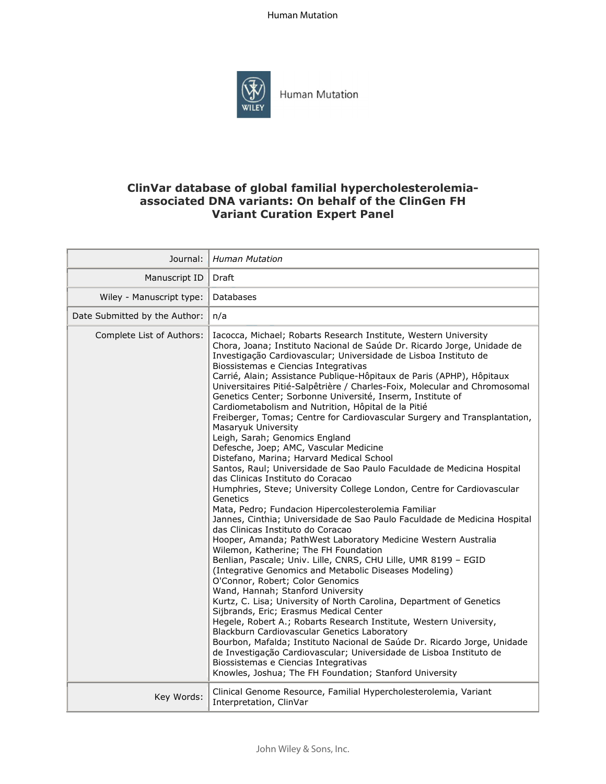

Human Mutation

## **ClinVar database of global familial hypercholesterolemia associated DNA variants: On behalf of the ClinGen FH Variant Curation Expert Panel**

| Journal:                      | <b>Human Mutation</b>                                                                                                                                                                                                                                                                                                                                                                                                                                                                                                                                                                                                                                                                                                                                                                                                                                                                                                                                                                                                                                                                                                                                                                                                                                                                                                                                                                                                                                                                                                                                                                                                                                                                                                                                                                                                                                                                                                                                          |
|-------------------------------|----------------------------------------------------------------------------------------------------------------------------------------------------------------------------------------------------------------------------------------------------------------------------------------------------------------------------------------------------------------------------------------------------------------------------------------------------------------------------------------------------------------------------------------------------------------------------------------------------------------------------------------------------------------------------------------------------------------------------------------------------------------------------------------------------------------------------------------------------------------------------------------------------------------------------------------------------------------------------------------------------------------------------------------------------------------------------------------------------------------------------------------------------------------------------------------------------------------------------------------------------------------------------------------------------------------------------------------------------------------------------------------------------------------------------------------------------------------------------------------------------------------------------------------------------------------------------------------------------------------------------------------------------------------------------------------------------------------------------------------------------------------------------------------------------------------------------------------------------------------------------------------------------------------------------------------------------------------|
| Manuscript ID                 | <b>Draft</b>                                                                                                                                                                                                                                                                                                                                                                                                                                                                                                                                                                                                                                                                                                                                                                                                                                                                                                                                                                                                                                                                                                                                                                                                                                                                                                                                                                                                                                                                                                                                                                                                                                                                                                                                                                                                                                                                                                                                                   |
| Wiley - Manuscript type:      | Databases                                                                                                                                                                                                                                                                                                                                                                                                                                                                                                                                                                                                                                                                                                                                                                                                                                                                                                                                                                                                                                                                                                                                                                                                                                                                                                                                                                                                                                                                                                                                                                                                                                                                                                                                                                                                                                                                                                                                                      |
| Date Submitted by the Author: | n/a                                                                                                                                                                                                                                                                                                                                                                                                                                                                                                                                                                                                                                                                                                                                                                                                                                                                                                                                                                                                                                                                                                                                                                                                                                                                                                                                                                                                                                                                                                                                                                                                                                                                                                                                                                                                                                                                                                                                                            |
| Complete List of Authors:     | Iacocca, Michael; Robarts Research Institute, Western University<br>Chora, Joana; Instituto Nacional de Saúde Dr. Ricardo Jorge, Unidade de<br>Investigação Cardiovascular; Universidade de Lisboa Instituto de<br>Biossistemas e Ciencias Integrativas<br>Carrié, Alain; Assistance Publique-Hôpitaux de Paris (APHP), Hôpitaux<br>Universitaires Pitié-Salpêtrière / Charles-Foix, Molecular and Chromosomal<br>Genetics Center; Sorbonne Université, Inserm, Institute of<br>Cardiometabolism and Nutrition, Hôpital de la Pitié<br>Freiberger, Tomas; Centre for Cardiovascular Surgery and Transplantation,<br>Masaryuk University<br>Leigh, Sarah; Genomics England<br>Defesche, Joep; AMC, Vascular Medicine<br>Distefano, Marina; Harvard Medical School<br>Santos, Raul; Universidade de Sao Paulo Faculdade de Medicina Hospital<br>das Clinicas Instituto do Coracao<br>Humphries, Steve; University College London, Centre for Cardiovascular<br>Genetics<br>Mata, Pedro; Fundacion Hipercolesterolemia Familiar<br>Jannes, Cinthia; Universidade de Sao Paulo Faculdade de Medicina Hospital<br>das Clinicas Instituto do Coracao<br>Hooper, Amanda; PathWest Laboratory Medicine Western Australia<br>Wilemon, Katherine; The FH Foundation<br>Benlian, Pascale; Univ. Lille, CNRS, CHU Lille, UMR 8199 - EGID<br>(Integrative Genomics and Metabolic Diseases Modeling)<br>O'Connor, Robert; Color Genomics<br>Wand, Hannah; Stanford University<br>Kurtz, C. Lisa; University of North Carolina, Department of Genetics<br>Sijbrands, Eric; Erasmus Medical Center<br>Hegele, Robert A.; Robarts Research Institute, Western University,<br>Blackburn Cardiovascular Genetics Laboratory<br>Bourbon, Mafalda; Instituto Nacional de Saúde Dr. Ricardo Jorge, Unidade<br>de Investigação Cardiovascular; Universidade de Lisboa Instituto de<br>Biossistemas e Ciencias Integrativas<br>Knowles, Joshua; The FH Foundation; Stanford University |
| Key Words:                    | Clinical Genome Resource, Familial Hypercholesterolemia, Variant<br>Interpretation, ClinVar                                                                                                                                                                                                                                                                                                                                                                                                                                                                                                                                                                                                                                                                                                                                                                                                                                                                                                                                                                                                                                                                                                                                                                                                                                                                                                                                                                                                                                                                                                                                                                                                                                                                                                                                                                                                                                                                    |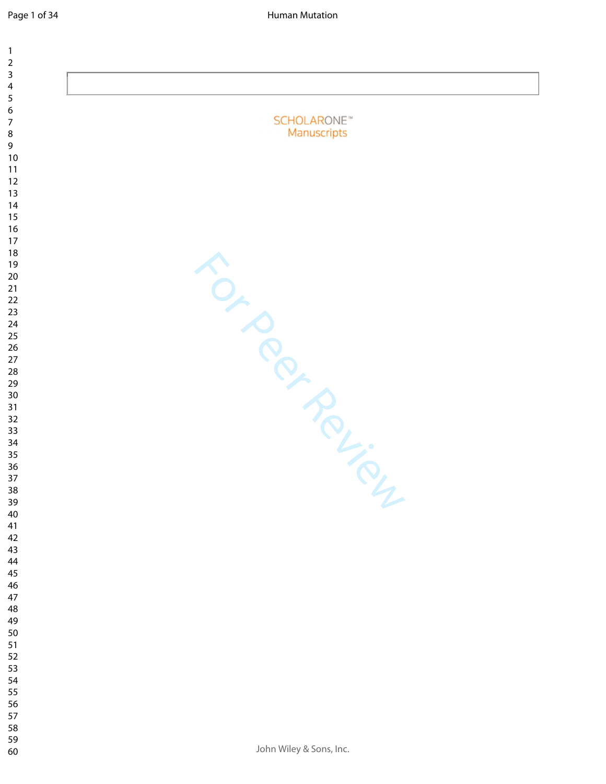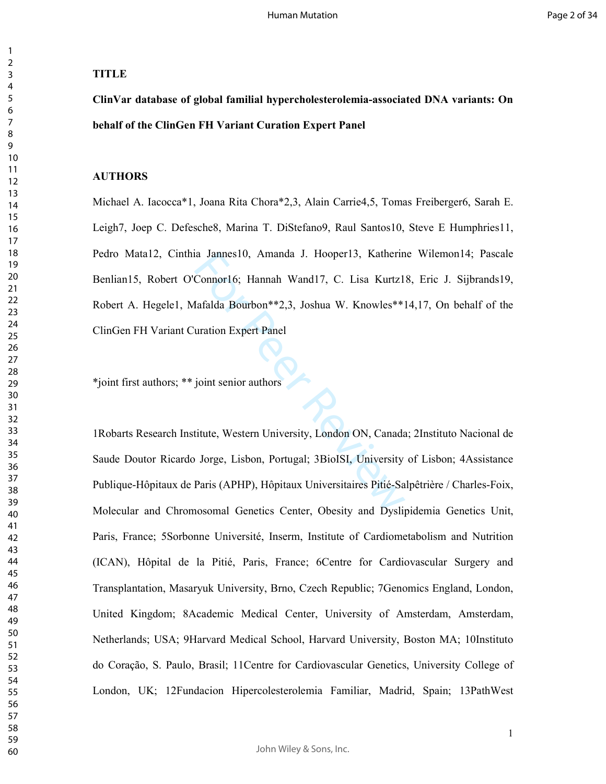#### **TITLE**

**ClinVar database of global familial hypercholesterolemia-associated DNA variants: On behalf of the ClinGen FH Variant Curation Expert Panel** 

#### **AUTHORS**

Michael A. Iacocca\*1, Joana Rita Chora\*2,3, Alain Carrie4,5, Tomas Freiberger6, Sarah E. Leigh7, Joep C. Defesche8, Marina T. DiStefano9, Raul Santos10, Steve E Humphries11, Pedro Mata12, Cinthia Jannes10, Amanda J. Hooper13, Katherine Wilemon14; Pascale Benlian15, Robert O'Connor16; Hannah Wand17, C. Lisa Kurtz18, Eric J. Sijbrands19, Robert A. Hegele1, Mafalda Bourbon\*\*2,3, Joshua W. Knowles\*\*14,17, On behalf of the ClinGen FH Variant Curation Expert Panel

\*joint first authors; \*\* joint senior authors

a Jannes10, Amanda J. Hooper13, Katherin<br>Connor16; Hannah Wand17, C. Lisa Kurtz1<br>Iafalda Bourbon\*\*2,3, Joshua W. Knowles\*\*<br>uration Expert Panel<br>joint senior authors<br>ititute, Western University, London ON, Canada<br>Jorge, Lis 1Robarts Research Institute, Western University, London ON, Canada; 2Instituto Nacional de Saude Doutor Ricardo Jorge, Lisbon, Portugal; 3BioISI, University of Lisbon; 4Assistance Publique-Hôpitaux de Paris (APHP), Hôpitaux Universitaires Pitié-Salpêtrière / Charles-Foix, Molecular and Chromosomal Genetics Center, Obesity and Dyslipidemia Genetics Unit, Paris, France; 5Sorbonne Université, Inserm, Institute of Cardiometabolism and Nutrition (ICAN), Hôpital de la Pitié, Paris, France; 6Centre for Cardiovascular Surgery and Transplantation, Masaryuk University, Brno, Czech Republic; 7Genomics England, London, United Kingdom; 8Academic Medical Center, University of Amsterdam, Amsterdam, Netherlands; USA; 9Harvard Medical School, Harvard University, Boston MA; 10Instituto do Coração, S. Paulo, Brasil; 11Centre for Cardiovascular Genetics, University College of London, UK; 12Fundacion Hipercolesterolemia Familiar, Madrid, Spain; 13PathWest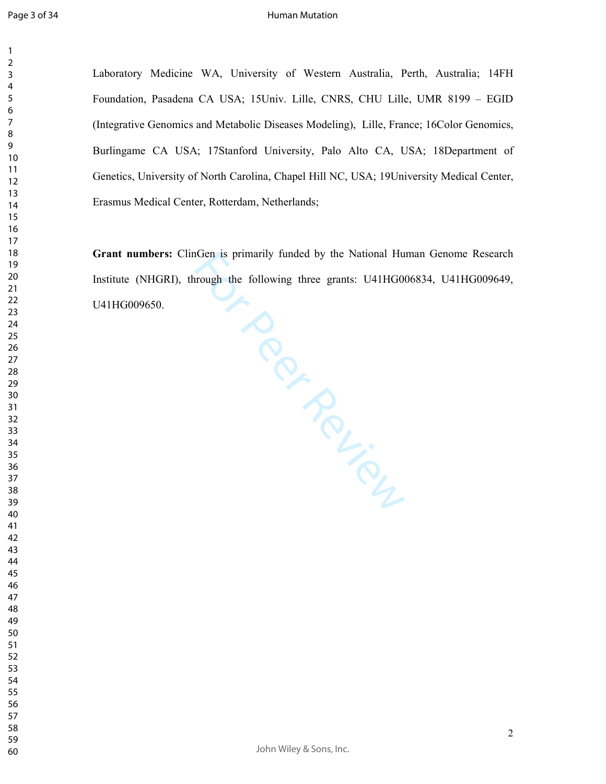#### Human Mutation

| 1                                         |
|-------------------------------------------|
| 2                                         |
| 3                                         |
| 4                                         |
|                                           |
| f                                         |
|                                           |
| 8                                         |
| 9                                         |
| 10                                        |
| 1<br>ı                                    |
| 1<br>$\overline{c}$                       |
| 3<br>1                                    |
| 1<br>4                                    |
| 1<br>ļ                                    |
| 16                                        |
|                                           |
| 1                                         |
| 18                                        |
| 19                                        |
| 20                                        |
| $\mathbf{z}$<br>l                         |
| $\overline{2}$<br>2                       |
| $^{23}$                                   |
| $\frac{24}{3}$                            |
| $\overline{2}$                            |
| $\overline{26}$                           |
| $^{27}$                                   |
| $\frac{28}{5}$                            |
| 29                                        |
| 80                                        |
| <sup>3</sup><br>ı                         |
| $\overline{\mathbf{S}}$<br>$\overline{ }$ |
| 33                                        |
| $\frac{34}{5}$                            |
| $\overline{\mathbf{3}}$                   |
| $\epsilon$                                |
| 37                                        |
| 38                                        |
| 39                                        |
| 40                                        |
| $4^{\circ}$<br>1                          |
| $\mathbf{4}^{\mathbf{\cdot}}$<br>2        |
|                                           |
| 43<br>ξ                                   |
| 44                                        |
| 4 <sup>t</sup><br>5                       |
| 46                                        |
| $\overline{4}$<br>7                       |
| 48                                        |
| 49                                        |
| 50                                        |
| $\overline{5}$<br>ı                       |
| 5<br>2                                    |
| c<br>$\overline{\mathbf{5}}$              |
| c<br>$\frac{1}{4}$                        |
| c<br>$\frac{1}{2}$<br>5                   |
| c<br>56                                   |
| l<br>5                                    |

 

Laboratory Medicine WA, University of Western Australia, Perth, Australia; 14FH Foundation, Pasadena CA USA; 15Univ. Lille, CNRS, CHU Lille, UMR 8199 – EGID (Integrative Genomics and Metabolic Diseases Modeling), Lille, France; 16Color Genomics, Burlingame CA USA; 17Stanford University, Palo Alto CA, USA; 18Department of Genetics, University of North Carolina, Chapel Hill NC, USA; 19University Medical Center, Erasmus Medical Center, Rotterdam, Netherlands;

Mendel Hallieu **Grant numbers:** ClinGen is primarily funded by the National Human Genome Research Institute (NHGRI), through the following three grants: U41HG006834, U41HG009649, U41HG009650.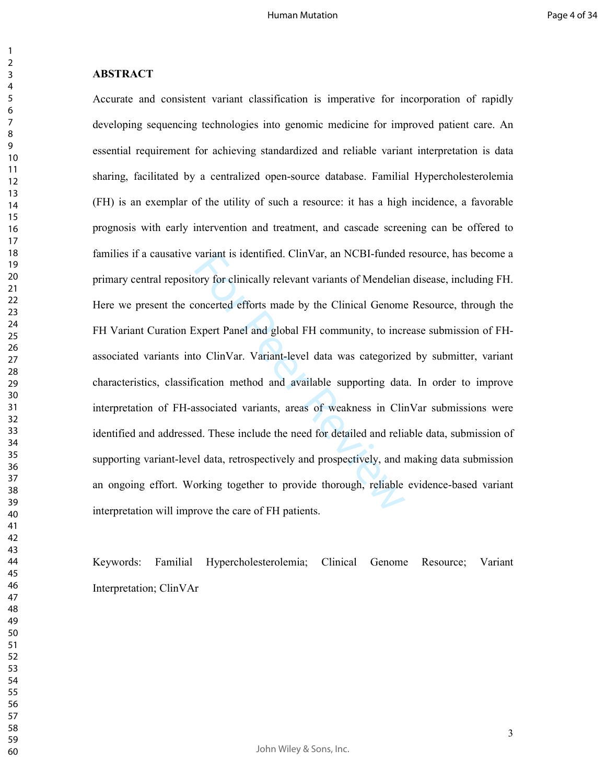#### **ABSTRACT**

variant is identified. ClinVar, an NCBI-funded<br>ory for clinically relevant variants of Mendeliar<br>oncerted efforts made by the Clinical Genome<br>Expert Panel and global FH community, to incr<br>to ClinVar. Variant-level data was Accurate and consistent variant classification is imperative for incorporation of rapidly developing sequencing technologies into genomic medicine for improved patient care. An essential requirement for achieving standardized and reliable variant interpretation is data sharing, facilitated by a centralized open-source database. Familial Hypercholesterolemia (FH) is an exemplar of the utility of such a resource: it has a high incidence, a favorable prognosis with early intervention and treatment, and cascade screening can be offered to families if a causative variant is identified. ClinVar, an NCBI-funded resource, has become a primary central repository for clinically relevant variants of Mendelian disease, including FH. Here we present the concerted efforts made by the Clinical Genome Resource, through the FH Variant Curation Expert Panel and global FH community, to increase submission of FHassociated variants into ClinVar. Variant-level data was categorized by submitter, variant characteristics, classification method and available supporting data. In order to improve interpretation of FH-associated variants, areas of weakness in ClinVar submissions were identified and addressed. These include the need for detailed and reliable data, submission of supporting variant-level data, retrospectively and prospectively, and making data submission an ongoing effort. Working together to provide thorough, reliable evidence-based variant interpretation will improve the care of FH patients.

Keywords: Familial Hypercholesterolemia; Clinical Genome Resource; Variant Interpretation; ClinVAr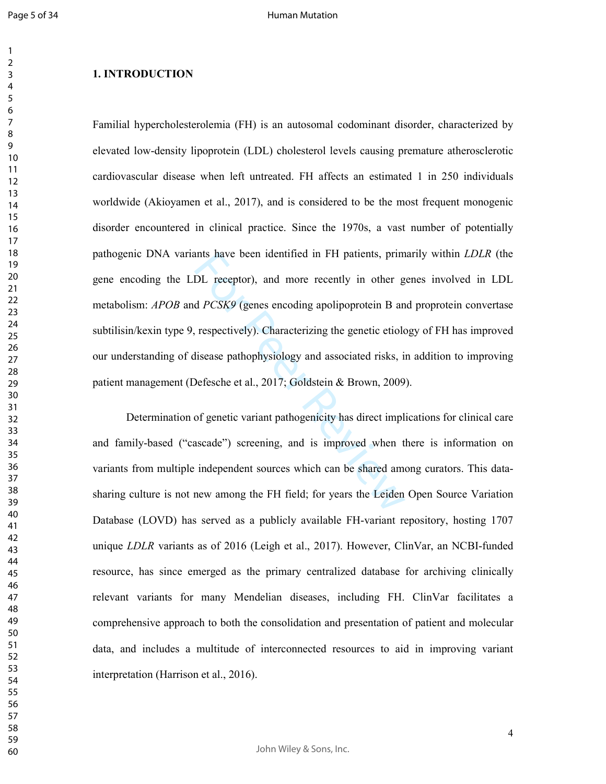#### **1. INTRODUCTION**

Ints have been identified in FH patients, prim<br>DL receptor), and more recently in other g<br>d *PCSK9* (genes encoding apolipoprotein B an<br>respectively). Characterizing the genetic etiold<br>disease pathophysiology and associate Familial hypercholesterolemia (FH) is an autosomal codominant disorder, characterized by elevated low-density lipoprotein (LDL) cholesterol levels causing premature atherosclerotic cardiovascular disease when left untreated. FH affects an estimated 1 in 250 individuals worldwide (Akioyamen et al., 2017), and is considered to be the most frequent monogenic disorder encountered in clinical practice. Since the 1970s, a vast number of potentially pathogenic DNA variants have been identified in FH patients, primarily within *LDLR* (the gene encoding the LDL receptor), and more recently in other genes involved in LDL metabolism: *APOB* and *PCSK9* (genes encoding apolipoprotein B and proprotein convertase subtilisin/kexin type 9, respectively). Characterizing the genetic etiology of FH has improved our understanding of disease pathophysiology and associated risks, in addition to improving patient management (Defesche et al., 2017; Goldstein & Brown, 2009).

Determination of genetic variant pathogenicity has direct implications for clinical care and family-based ("cascade") screening, and is improved when there is information on variants from multiple independent sources which can be shared among curators. This datasharing culture is not new among the FH field; for years the Leiden Open Source Variation Database (LOVD) has served as a publicly available FH-variant repository, hosting 1707 unique *LDLR* variants as of 2016 (Leigh et al., 2017). However, ClinVar, an NCBI-funded resource, has since emerged as the primary centralized database for archiving clinically relevant variants for many Mendelian diseases, including FH. ClinVar facilitates a comprehensive approach to both the consolidation and presentation of patient and molecular data, and includes a multitude of interconnected resources to aid in improving variant interpretation (Harrison et al., 2016).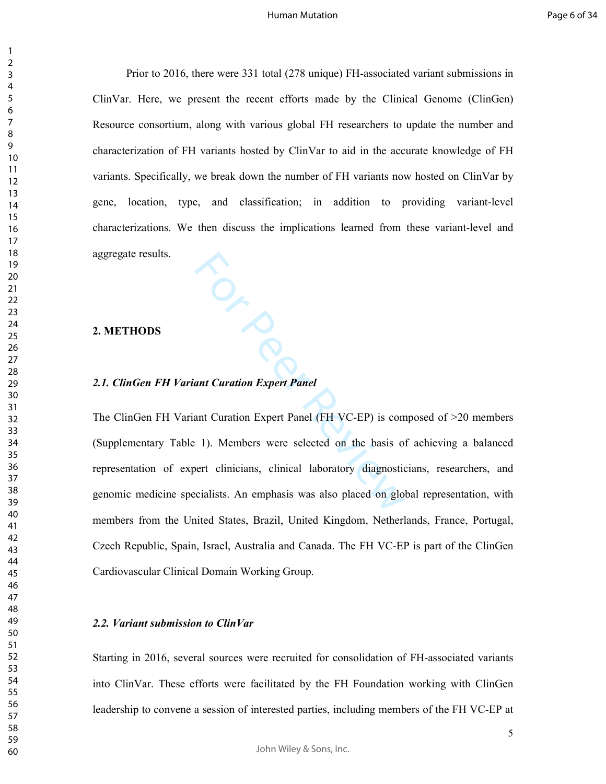#### Human Mutation

TON P Prior to 2016, there were 331 total (278 unique) FH-associated variant submissions in ClinVar. Here, we present the recent efforts made by the Clinical Genome (ClinGen) Resource consortium, along with various global FH researchers to update the number and characterization of FH variants hosted by ClinVar to aid in the accurate knowledge of FH variants. Specifically, we break down the number of FH variants now hosted on ClinVar by gene, location, type, and classification; in addition to providing variant-level characterizations. We then discuss the implications learned from these variant-level and aggregate results.

#### **2. METHODS**

#### *2.1. ClinGen FH Variant Curation Expert Panel*

The ClinGen FH Variant Curation Expert Panel (FH VC-EP) is composed of >20 members (Supplementary Table 1). Members were selected on the basis of achieving a balanced representation of expert clinicians, clinical laboratory diagnosticians, researchers, and genomic medicine specialists. An emphasis was also placed on global representation, with members from the United States, Brazil, United Kingdom, Netherlands, France, Portugal, Czech Republic, Spain, Israel, Australia and Canada. The FH VC-EP is part of the ClinGen Cardiovascular Clinical Domain Working Group.

#### *2.2. Variant submission to ClinVar*

Starting in 2016, several sources were recruited for consolidation of FH-associated variants into ClinVar. These efforts were facilitated by the FH Foundation working with ClinGen leadership to convene a session of interested parties, including members of the FH VC-EP at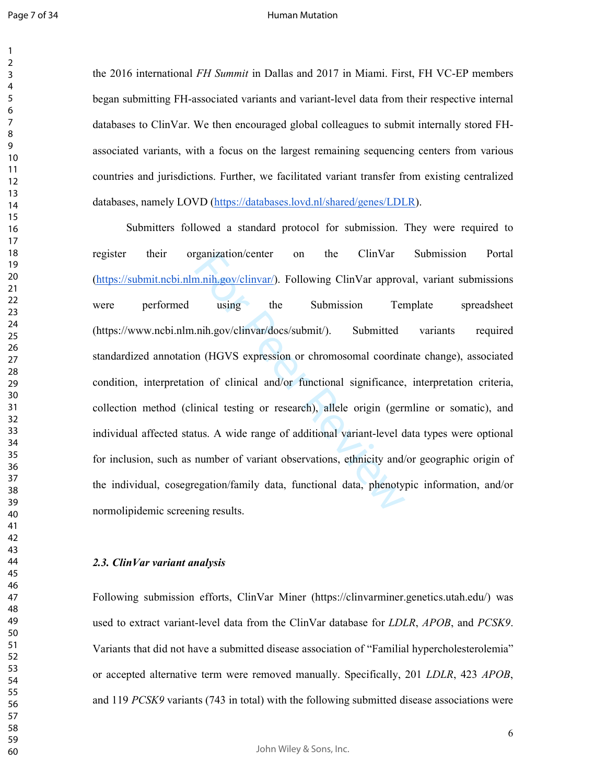#### Human Mutation

the 2016 international *FH Summit* in Dallas and 2017 in Miami. First, FH VC-EP members began submitting FH-associated variants and variant-level data from their respective internal databases to ClinVar. We then encouraged global colleagues to submit internally stored FHassociated variants, with a focus on the largest remaining sequencing centers from various countries and jurisdictions. Further, we facilitated variant transfer from existing centralized databases, namely LOVD (https://databases.lovd.nl/shared/genes/LDLR).

reganization/center on the ClinVar<br>
m.nih.gov/clinvar/). Following ClinVar approv<br>
using the Submission Ter<br>
.nih.gov/clinvar/docs/submit/). Submitted<br>
on (HGVS expression or chromosomal coordin<br>
on of clinical and/or func Submitters followed a standard protocol for submission. They were required to register their organization/center on the ClinVar Submission Portal (https://submit.ncbi.nlm.nih.gov/clinvar/). Following ClinVar approval, variant submissions were performed using the Submission Template spreadsheet (https://www.ncbi.nlm.nih.gov/clinvar/docs/submit/). Submitted variants required standardized annotation (HGVS expression or chromosomal coordinate change), associated condition, interpretation of clinical and/or functional significance, interpretation criteria, collection method (clinical testing or research), allele origin (germline or somatic), and individual affected status. A wide range of additional variant-level data types were optional for inclusion, such as number of variant observations, ethnicity and/or geographic origin of the individual, cosegregation/family data, functional data, phenotypic information, and/or normolipidemic screening results.

#### *2.3. ClinVar variant analysis*

Following submission efforts, ClinVar Miner (https://clinvarminer.genetics.utah.edu/) was used to extract variant-level data from the ClinVar database for *LDLR*, *APOB*, and *PCSK9*. Variants that did not have a submitted disease association of "Familial hypercholesterolemia" or accepted alternative term were removed manually. Specifically, 201 *LDLR*, 423 *APOB*, and 119 *PCSK9* variants (743 in total) with the following submitted disease associations were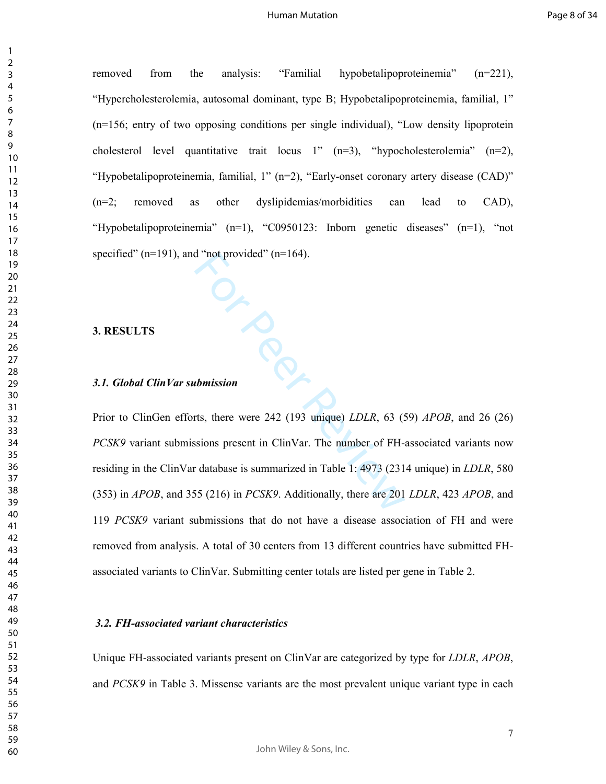removed from the analysis: "Familial hypobetalipoproteinemia" (n=221), "Hypercholesterolemia, autosomal dominant, type B; Hypobetalipoproteinemia, familial, 1" (n=156; entry of two opposing conditions per single individual), "Low density lipoprotein cholesterol level quantitative trait locus 1"  $(n=3)$ , "hypocholesterolemia"  $(n=2)$ , "Hypobetalipoproteinemia, familial, 1" (n=2), "Early-onset coronary artery disease (CAD)" (n=2; removed as other dyslipidemias/morbidities can lead to CAD), "Hypobetalipoproteinemia" (n=1), "C0950123: Inborn genetic diseases" (n=1), "not specified"  $(n=191)$ , and "not provided"  $(n=164)$ .

#### **3. RESULTS**

# UNDER-*3.1. Global ClinVar submission*

Prior to ClinGen efforts, there were 242 (193 unique) *LDLR*, 63 (59) *APOB*, and 26 (26) *PCSK9* variant submissions present in ClinVar. The number of FH-associated variants now residing in the ClinVar database is summarized in Table 1: 4973 (2314 unique) in *LDLR*, 580 (353) in *APOB*, and 355 (216) in *PCSK9*. Additionally, there are 201 *LDLR*, 423 *APOB*, and *PCSK9* variant submissions that do not have a disease association of FH and were removed from analysis. A total of 30 centers from 13 different countries have submitted FHassociated variants to ClinVar. Submitting center totals are listed per gene in Table 2.

#### *3.2. FH-associated variant characteristics*

Unique FH-associated variants present on ClinVar are categorized by type for *LDLR*, *APOB*, and *PCSK9* in Table 3. Missense variants are the most prevalent unique variant type in each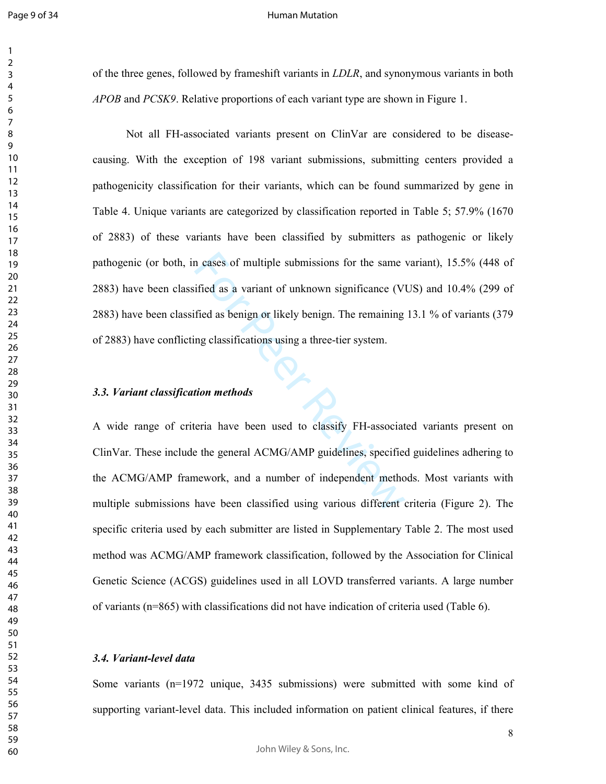#### Human Mutation

of the three genes, followed by frameshift variants in *LDLR*, and synonymous variants in both *APOB* and *PCSK9*. Relative proportions of each variant type are shown in Figure 1.

In cases of multiple submissions for the same<br>ified as a variant of unknown significance (V<br>fied as benign or likely benign. The remaining<br>ng classifications using a three-tier system.<br>tion methods<br>eria have been used to c Not all FH-associated variants present on ClinVar are considered to be diseasecausing. With the exception of 198 variant submissions, submitting centers provided a pathogenicity classification for their variants, which can be found summarized by gene in Table 4. Unique variants are categorized by classification reported in Table 5; 57.9% (1670 of 2883) of these variants have been classified by submitters as pathogenic or likely pathogenic (or both, in cases of multiple submissions for the same variant), 15.5% (448 of 2883) have been classified as a variant of unknown significance (VUS) and 10.4% (299 of 2883) have been classified as benign or likely benign. The remaining 13.1 % of variants (379 of 2883) have conflicting classifications using a three-tier system.

#### *3.3. Variant classification methods*

A wide range of criteria have been used to classify FH-associated variants present on ClinVar. These include the general ACMG/AMP guidelines, specified guidelines adhering to the ACMG/AMP framework, and a number of independent methods. Most variants with multiple submissions have been classified using various different criteria (Figure 2). The specific criteria used by each submitter are listed in Supplementary Table 2. The most used method was ACMG/AMP framework classification, followed by the Association for Clinical Genetic Science (ACGS) guidelines used in all LOVD transferred variants. A large number of variants (n=865) with classifications did not have indication of criteria used (Table 6).

#### *3.4. Variant-level data*

Some variants (n=1972 unique, 3435 submissions) were submitted with some kind of supporting variant-level data. This included information on patient clinical features, if there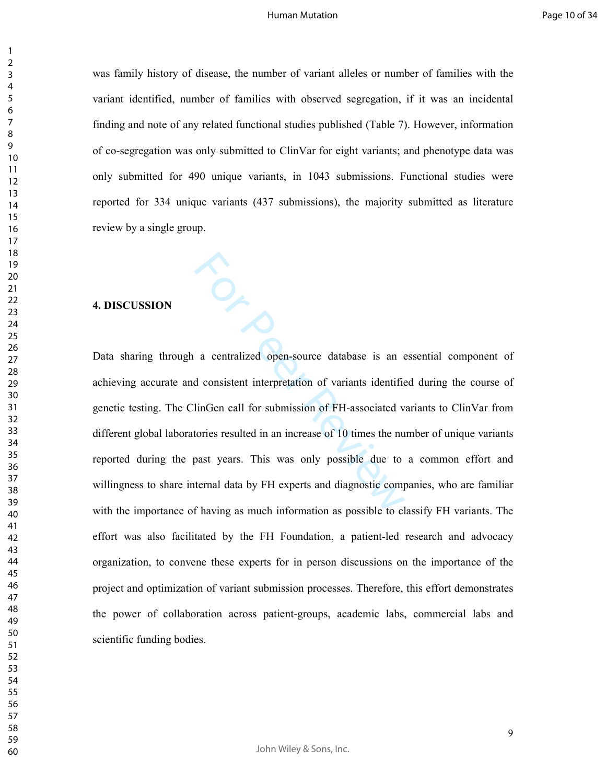#### Human Mutation

was family history of disease, the number of variant alleles or number of families with the variant identified, number of families with observed segregation, if it was an incidental finding and note of any related functional studies published (Table 7). However, information of co-segregation was only submitted to ClinVar for eight variants; and phenotype data was only submitted for 490 unique variants, in 1043 submissions. Functional studies were reported for 334 unique variants (437 submissions), the majority submitted as literature review by a single group.

#### **4. DISCUSSION**

a centralized Open-source database is an example and consistent interpretation of variants identified in Gen call for submission of FH-associated v tories resulted in an increase of 10 times the nu past years. This was onl Data sharing through a centralized open-source database is an essential component of achieving accurate and consistent interpretation of variants identified during the course of genetic testing. The ClinGen call for submission of FH-associated variants to ClinVar from different global laboratories resulted in an increase of 10 times the number of unique variants reported during the past years. This was only possible due to a common effort and willingness to share internal data by FH experts and diagnostic companies, who are familiar with the importance of having as much information as possible to classify FH variants. The effort was also facilitated by the FH Foundation, a patient-led research and advocacy organization, to convene these experts for in person discussions on the importance of the project and optimization of variant submission processes. Therefore, this effort demonstrates the power of collaboration across patient-groups, academic labs, commercial labs and scientific funding bodies.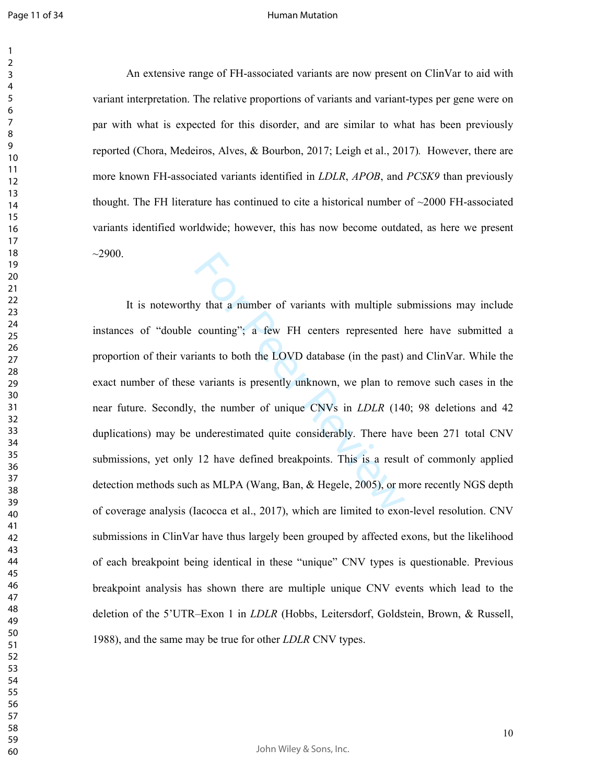#### Human Mutation

An extensive range of FH-associated variants are now present on ClinVar to aid with variant interpretation. The relative proportions of variants and variant-types per gene were on par with what is expected for this disorder, and are similar to what has been previously reported (Chora, Medeiros, Alves, & Bourbon, 2017; Leigh et al., 2017)*.* However, there are more known FH-associated variants identified in *LDLR*, *APOB*, and *PCSK9* than previously thought. The FH literature has continued to cite a historical number of ~2000 FH-associated variants identified worldwide; however, this has now become outdated, as here we present  $~2900$ .

We that a number of variants with multiple su<br>counting"; a few FH centers represented l<br>iants to both the LOVD database (in the past)<br>variants is presently unknown, we plan to re<br>t, the number of unique CNVs in *LDLR* (144 It is noteworthy that a number of variants with multiple submissions may include instances of "double counting"; a few FH centers represented here have submitted a proportion of their variants to both the LOVD database (in the past) and ClinVar. While the exact number of these variants is presently unknown, we plan to remove such cases in the near future. Secondly, the number of unique CNVs in *LDLR* (140; 98 deletions and 42 duplications) may be underestimated quite considerably. There have been 271 total CNV submissions, yet only 12 have defined breakpoints. This is a result of commonly applied detection methods such as MLPA (Wang, Ban, & Hegele, 2005), or more recently NGS depth of coverage analysis (Iacocca et al., 2017), which are limited to exon-level resolution. CNV submissions in ClinVar have thus largely been grouped by affected exons, but the likelihood of each breakpoint being identical in these "unique" CNV types is questionable. Previous breakpoint analysis has shown there are multiple unique CNV events which lead to the deletion of the 5'UTR–Exon 1 in *LDLR* (Hobbs, Leitersdorf, Goldstein, Brown, & Russell, 1988), and the same may be true for other *LDLR* CNV types.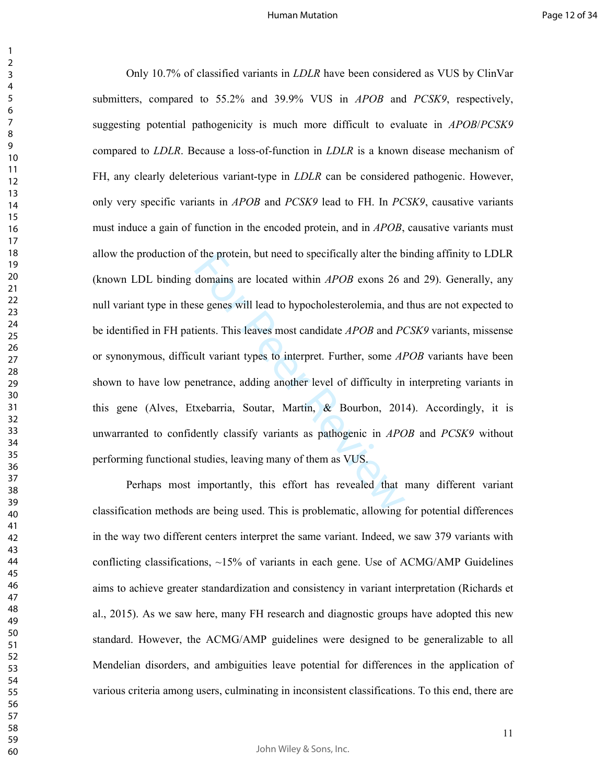#### Human Mutation

If the protein, but need to specifically after the b<br>domains are located within *APOB* exons 26 a<br>se genes will lead to hypocholesterolemia, and<br>ients. This leaves most candidate *APOB* and *PC*<br>ult variant types to interp Only 10.7% of classified variants in *LDLR* have been considered as VUS by ClinVar submitters, compared to 55.2% and 39.9% VUS in *APOB* and *PCSK9*, respectively, suggesting potential pathogenicity is much more difficult to evaluate in *APOB*/*PCSK9*  compared to *LDLR*. Because a loss-of-function in *LDLR* is a known disease mechanism of FH, any clearly deleterious variant-type in *LDLR* can be considered pathogenic. However, only very specific variants in *APOB* and *PCSK9* lead to FH. In *PCSK9*, causative variants must induce a gain of function in the encoded protein, and in *APOB*, causative variants must allow the production of the protein, but need to specifically alter the binding affinity to LDLR (known LDL binding domains are located within *APOB* exons 26 and 29). Generally, any null variant type in these genes will lead to hypocholesterolemia, and thus are not expected to be identified in FH patients. This leaves most candidate *APOB* and *PCSK9* variants, missense or synonymous, difficult variant types to interpret. Further, some *APOB* variants have been shown to have low penetrance, adding another level of difficulty in interpreting variants in this gene (Alves, Etxebarria, Soutar, Martin, & Bourbon, 2014). Accordingly, it is unwarranted to confidently classify variants as pathogenic in *APOB* and *PCSK9* without performing functional studies, leaving many of them as VUS.

Perhaps most importantly, this effort has revealed that many different variant classification methods are being used. This is problematic, allowing for potential differences in the way two different centers interpret the same variant. Indeed, we saw 379 variants with conflicting classifications,  $\sim$ 15% of variants in each gene. Use of ACMG/AMP Guidelines aims to achieve greater standardization and consistency in variant interpretation (Richards et al., 2015). As we saw here, many FH research and diagnostic groups have adopted this new standard. However, the ACMG/AMP guidelines were designed to be generalizable to all Mendelian disorders, and ambiguities leave potential for differences in the application of various criteria among users, culminating in inconsistent classifications. To this end, there are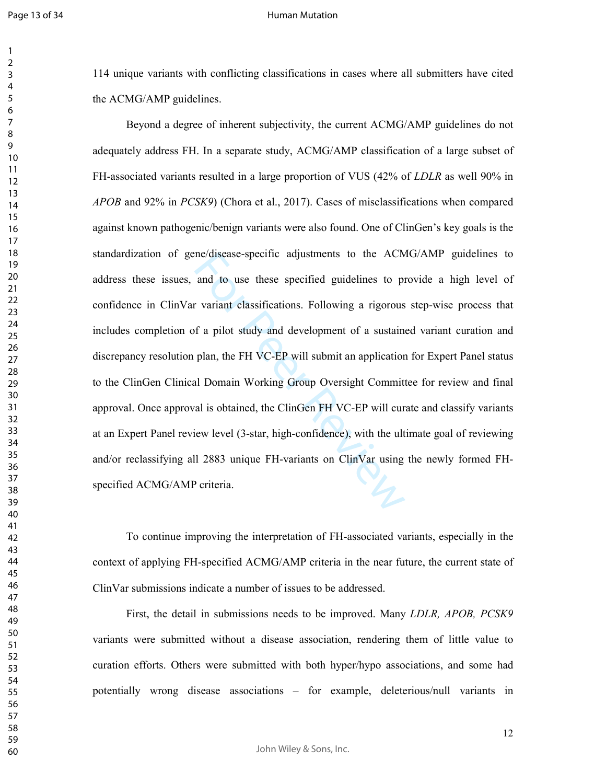#### Human Mutation

114 unique variants with conflicting classifications in cases where all submitters have cited the ACMG/AMP guidelines.

me/disease-specific adjustments to the ACM<br>and to use these specified guidelines to pr<br>r variant classifications. Following a rigorous<br>f a pilot study and development of a sustain-<br>plan, the FH VC-EP will submit an applica Beyond a degree of inherent subjectivity, the current ACMG/AMP guidelines do not adequately address FH. In a separate study, ACMG/AMP classification of a large subset of FH-associated variants resulted in a large proportion of VUS (42% of *LDLR* as well 90% in *APOB* and 92% in *PCSK9*) (Chora et al., 2017). Cases of misclassifications when compared against known pathogenic/benign variants were also found. One of ClinGen's key goals is the standardization of gene/disease-specific adjustments to the ACMG/AMP guidelines to address these issues, and to use these specified guidelines to provide a high level of confidence in ClinVar variant classifications. Following a rigorous step-wise process that includes completion of a pilot study and development of a sustained variant curation and discrepancy resolution plan, the FH VC-EP will submit an application for Expert Panel status to the ClinGen Clinical Domain Working Group Oversight Committee for review and final approval. Once approval is obtained, the ClinGen FH VC-EP will curate and classify variants at an Expert Panel review level (3-star, high-confidence), with the ultimate goal of reviewing and/or reclassifying all 2883 unique FH-variants on ClinVar using the newly formed FHspecified ACMG/AMP criteria.

To continue improving the interpretation of FH-associated variants, especially in the context of applying FH-specified ACMG/AMP criteria in the near future, the current state of ClinVar submissions indicate a number of issues to be addressed.

First, the detail in submissions needs to be improved. Many *LDLR, APOB, PCSK9*  variants were submitted without a disease association, rendering them of little value to curation efforts. Others were submitted with both hyper/hypo associations, and some had potentially wrong disease associations – for example, deleterious/null variants in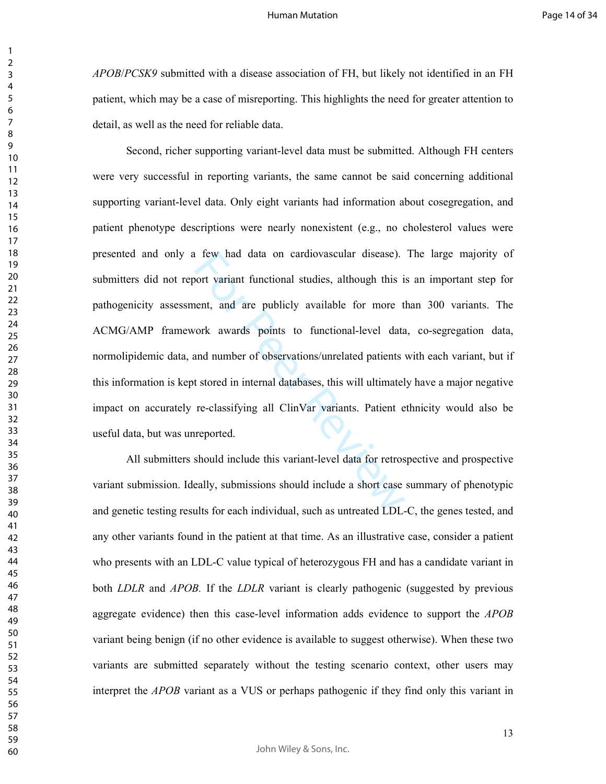*APOB*/*PCSK9* submitted with a disease association of FH, but likely not identified in an FH patient, which may be a case of misreporting. This highlights the need for greater attention to detail, as well as the need for reliable data.

For the Mad data on cardiovascular disease).<br>
Sort variant functional studies, although this is<br>
lent, and are publicly available for more the end of<br>
and number of observations/unrelated patients<br>
is t stored in internal Second, richer supporting variant-level data must be submitted. Although FH centers were very successful in reporting variants, the same cannot be said concerning additional supporting variant-level data. Only eight variants had information about cosegregation, and patient phenotype descriptions were nearly nonexistent (e.g., no cholesterol values were presented and only a few had data on cardiovascular disease). The large majority of submitters did not report variant functional studies, although this is an important step for pathogenicity assessment, and are publicly available for more than 300 variants. The ACMG/AMP framework awards points to functional-level data, co-segregation data, normolipidemic data, and number of observations/unrelated patients with each variant, but if this information is kept stored in internal databases, this will ultimately have a major negative impact on accurately re-classifying all ClinVar variants. Patient ethnicity would also be useful data, but was unreported.

All submitters should include this variant-level data for retrospective and prospective variant submission. Ideally, submissions should include a short case summary of phenotypic and genetic testing results for each individual, such as untreated LDL-C, the genes tested, and any other variants found in the patient at that time. As an illustrative case, consider a patient who presents with an LDL-C value typical of heterozygous FH and has a candidate variant in both *LDLR* and *APOB.* If the *LDLR* variant is clearly pathogenic (suggested by previous aggregate evidence) then this case-level information adds evidence to support the *APOB*  variant being benign (if no other evidence is available to suggest otherwise). When these two variants are submitted separately without the testing scenario context, other users may interpret the *APOB* variant as a VUS or perhaps pathogenic if they find only this variant in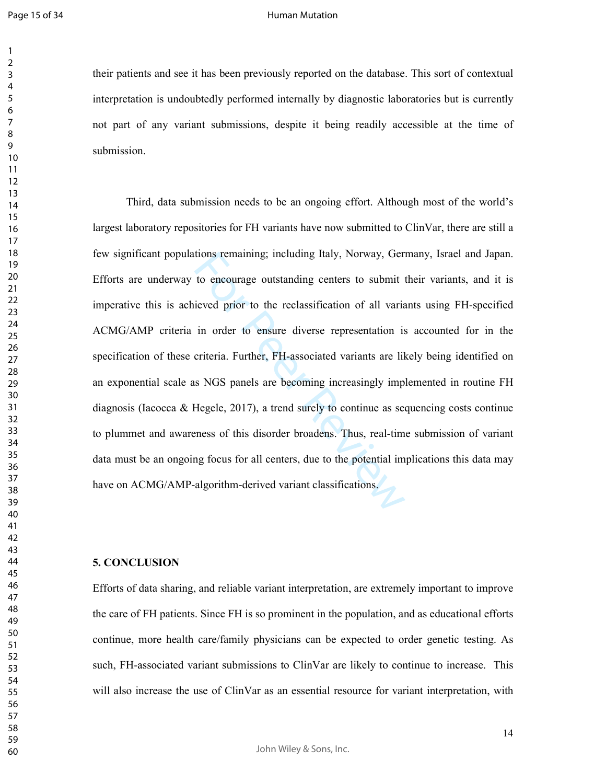#### Human Mutation

their patients and see it has been previously reported on the database. This sort of contextual interpretation is undoubtedly performed internally by diagnostic laboratories but is currently not part of any variant submissions, despite it being readily accessible at the time of submission.

tions remaining; including Italy, Norway, Gerical<br>to encourage outstanding centers to submit 1<br>ieved prior to the reclassification of all varia<br>in order to ensure diverse representation is<br>criteria. Further, FH-associated Third, data submission needs to be an ongoing effort. Although most of the world's largest laboratory repositories for FH variants have now submitted to ClinVar, there are still a few significant populations remaining; including Italy, Norway, Germany, Israel and Japan. Efforts are underway to encourage outstanding centers to submit their variants, and it is imperative this is achieved prior to the reclassification of all variants using FH-specified ACMG/AMP criteria in order to ensure diverse representation is accounted for in the specification of these criteria. Further, FH-associated variants are likely being identified on an exponential scale as NGS panels are becoming increasingly implemented in routine FH diagnosis (Iacocca & Hegele, 2017), a trend surely to continue as sequencing costs continue to plummet and awareness of this disorder broadens. Thus, real-time submission of variant data must be an ongoing focus for all centers, due to the potential implications this data may have on ACMG/AMP-algorithm-derived variant classifications.

#### **5. CONCLUSION**

Efforts of data sharing, and reliable variant interpretation, are extremely important to improve the care of FH patients. Since FH is so prominent in the population, and as educational efforts continue, more health care/family physicians can be expected to order genetic testing. As such, FH-associated variant submissions to ClinVar are likely to continue to increase. This will also increase the use of ClinVar as an essential resource for variant interpretation, with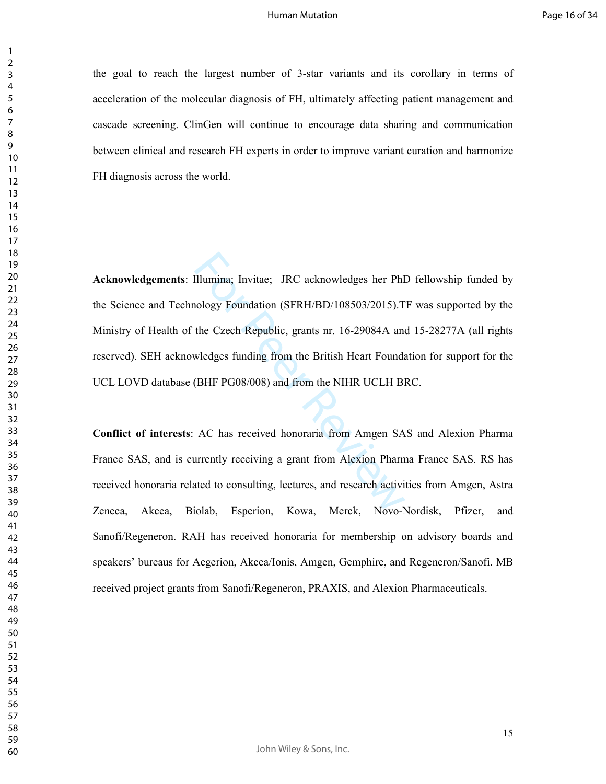the goal to reach the largest number of 3-star variants and its corollary in terms of acceleration of the molecular diagnosis of FH, ultimately affecting patient management and cascade screening. ClinGen will continue to encourage data sharing and communication between clinical and research FH experts in order to improve variant curation and harmonize FH diagnosis across the world.

Illumina; Invitae; JRC acknowledges her PhI<br>nology Foundation (SFRH/BD/108503/2015).T<br>the Czech Republic, grants nr. 16-29084A and<br>wledges funding from the British Heart Founda<br>(BHF PG08/008) and from the NIHR UCLH BI<br>AC h **Acknowledgements**: Illumina; Invitae; JRC acknowledges her PhD fellowship funded by the Science and Technology Foundation (SFRH/BD/108503/2015).TF was supported by the Ministry of Health of the Czech Republic, grants nr. 16-29084A and 15-28277A (all rights reserved). SEH acknowledges funding from the British Heart Foundation for support for the UCL LOVD database (BHF PG08/008) and from the NIHR UCLH BRC.

**Conflict of interests**: AC has received honoraria from Amgen SAS and Alexion Pharma France SAS, and is currently receiving a grant from Alexion Pharma France SAS. RS has received honoraria related to consulting, lectures, and research activities from Amgen, Astra Zeneca, Akcea, Biolab, Esperion, Kowa, Merck, Novo-Nordisk, Pfizer, and Sanofi/Regeneron. RAH has received honoraria for membership on advisory boards and speakers' bureaus for Aegerion, Akcea/Ionis, Amgen, Gemphire, and Regeneron/Sanofi. MB received project grants from Sanofi/Regeneron, PRAXIS, and Alexion Pharmaceuticals.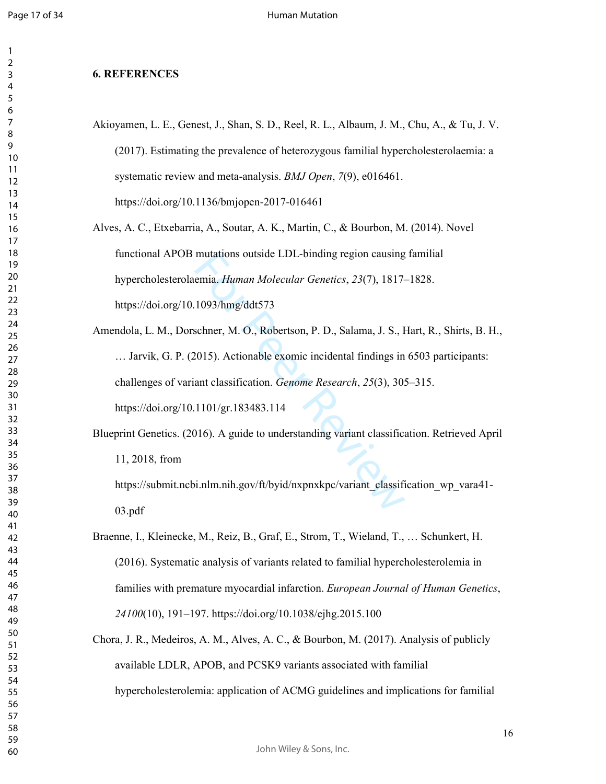#### **6. REFERENCES**

# Akioyamen, L. E., Genest, J., Shan, S. D., Reel, R. L., Albaum, J. M., Chu, A., & Tu, J. V. (2017). Estimating the prevalence of heterozygous familial hypercholesterolaemia: a systematic review and meta-analysis. *BMJ Open*, *7*(9), e016461. https://doi.org/10.1136/bmjopen-2017-016461

- Alves, A. C., Etxebarria, A., Soutar, A. K., Martin, C., & Bourbon, M. (2014). Novel functional APOB mutations outside LDL-binding region causing familial hypercholesterolaemia. *Human Molecular Genetics*, *23*(7), 1817–1828. https://doi.org/10.1093/hmg/ddt573
- mutations outside LDL-binding region causing<br>emia. Human Molecular Genetics, 23(7), 1817-<br>1093/hmg/ddt573<br>schner, M. O., Robertson, P. D., Salama, J. S., I<br>2015). Actionable exomic incidental findings in<br>ant classification Amendola, L. M., Dorschner, M. O., Robertson, P. D., Salama, J. S., Hart, R., Shirts, B. H., … Jarvik, G. P. (2015). Actionable exomic incidental findings in 6503 participants: challenges of variant classification. *Genome Research*, *25*(3), 305–315. https://doi.org/10.1101/gr.183483.114
- Blueprint Genetics. (2016). A guide to understanding variant classification. Retrieved April 11, 2018, from https://submit.ncbi.nlm.nih.gov/ft/byid/nxpnxkpc/variant\_classification\_wp\_vara41-

03.pdf

- Braenne, I., Kleinecke, M., Reiz, B., Graf, E., Strom, T., Wieland, T., … Schunkert, H. (2016). Systematic analysis of variants related to familial hypercholesterolemia in families with premature myocardial infarction. *European Journal of Human Genetics*, (10), 191–197. https://doi.org/10.1038/ejhg.2015.100
- Chora, J. R., Medeiros, A. M., Alves, A. C., & Bourbon, M. (2017). Analysis of publicly available LDLR, APOB, and PCSK9 variants associated with familial hypercholesterolemia: application of ACMG guidelines and implications for familial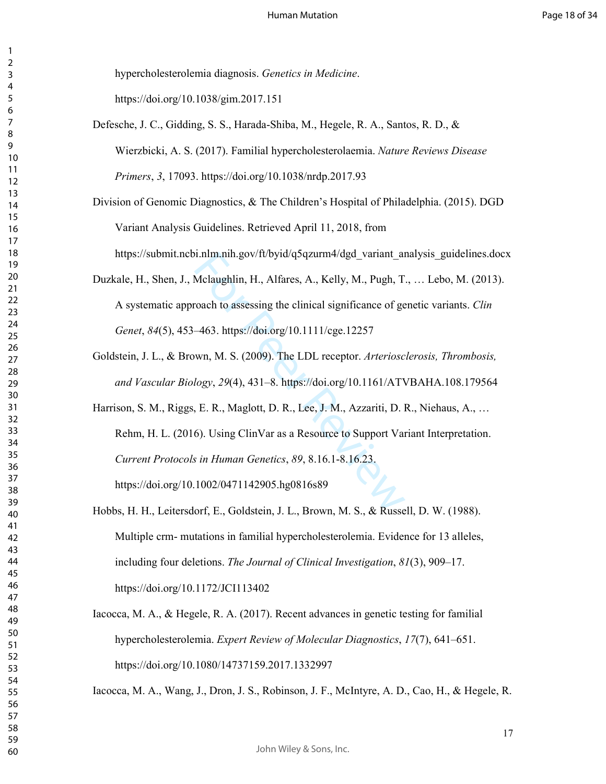hypercholesterolemia diagnosis. *Genetics in Medicine*. https://doi.org/10.1038/gim.2017.151

- Defesche, J. C., Gidding, S. S., Harada-Shiba, M., Hegele, R. A., Santos, R. D., & Wierzbicki, A. S. (2017). Familial hypercholesterolaemia. *Nature Reviews Disease Primers*, *3*, 17093. https://doi.org/10.1038/nrdp.2017.93
- Division of Genomic Diagnostics, & The Children's Hospital of Philadelphia. (2015). DGD Variant Analysis Guidelines. Retrieved April 11, 2018, from https://submit.ncbi.nlm.nih.gov/ft/byid/q5qzurm4/dgd\_variant\_analysis\_guidelines.docx
- Duzkale, H., Shen, J., Mclaughlin, H., Alfares, A., Kelly, M., Pugh, T., … Lebo, M. (2013). A systematic approach to assessing the clinical significance of genetic variants. *Clin Genet*, *84*(5), 453–463. https://doi.org/10.1111/cge.12257
- Goldstein, J. L., & Brown, M. S. (2009). The LDL receptor. *Arteriosclerosis, Thrombosis, and Vascular Biology*, *29*(4), 431–8. https://doi.org/10.1161/ATVBAHA.108.179564

I.nlm.nih.gov/ft/byid/q5qzurm4/dgd\_variant\_ai<br>Mclaughlin, H., Alfares, A., Kelly, M., Pugh, T<br>coach to assessing the clinical significance of ge<br>–463. https://doi.org/10.1111/cge.12257<br>wn, M. S. (2009). The LDL receptor. Harrison, S. M., Riggs, E. R., Maglott, D. R., Lee, J. M., Azzariti, D. R., Niehaus, A., … Rehm, H. L. (2016). Using ClinVar as a Resource to Support Variant Interpretation. *Current Protocols in Human Genetics*, *89*, 8.16.1-8.16.23. https://doi.org/10.1002/0471142905.hg0816s89

Hobbs, H. H., Leitersdorf, E., Goldstein, J. L., Brown, M. S., & Russell, D. W. (1988). Multiple crm- mutations in familial hypercholesterolemia. Evidence for 13 alleles, including four deletions. *The Journal of Clinical Investigation*, *81*(3), 909–17. https://doi.org/10.1172/JCI113402

Iacocca, M. A., & Hegele, R. A. (2017). Recent advances in genetic testing for familial hypercholesterolemia. *Expert Review of Molecular Diagnostics*, *17*(7), 641–651. https://doi.org/10.1080/14737159.2017.1332997

Iacocca, M. A., Wang, J., Dron, J. S., Robinson, J. F., McIntyre, A. D., Cao, H., & Hegele, R.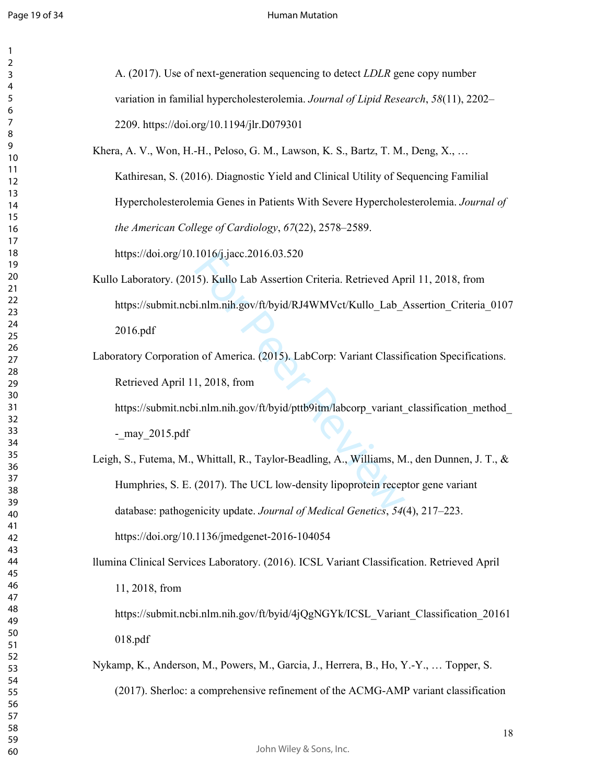$\mathbf{1}$  $\overline{2}$  $\mathsf{3}$  $\overline{7}$  $\, 8$ 

#### Human Mutation

| A. (2017). Use of next-generation sequencing to detect LDLR gene copy number                 |  |
|----------------------------------------------------------------------------------------------|--|
| variation in familial hypercholesterolemia. Journal of Lipid Research, 58(11), 2202-         |  |
| 2209. https://doi.org/10.1194/jlr.D079301                                                    |  |
| Khera, A. V., Won, H.-H., Peloso, G. M., Lawson, K. S., Bartz, T. M., Deng, X.,              |  |
| Kathiresan, S. (2016). Diagnostic Yield and Clinical Utility of Sequencing Familial          |  |
| Hypercholesterolemia Genes in Patients With Severe Hypercholesterolemia. Journal of          |  |
| the American College of Cardiology, 67(22), 2578-2589.                                       |  |
| https://doi.org/10.1016/j.jacc.2016.03.520                                                   |  |
| Kullo Laboratory. (2015). Kullo Lab Assertion Criteria. Retrieved April 11, 2018, from       |  |
| https://submit.ncbi.nlm.nih.gov/ft/byid/RJ4WMVct/Kullo Lab Assertion Criteria 0107           |  |
| 2016.pdf                                                                                     |  |
| Laboratory Corporation of America. (2015). LabCorp: Variant Classification Specifications.   |  |
| Retrieved April 11, 2018, from                                                               |  |
| https://submit.ncbi.nlm.nih.gov/ft/byid/pttb9itm/labcorp variant classification method       |  |
| - may $2015$ .pdf                                                                            |  |
| Leigh, S., Futema, M., Whittall, R., Taylor-Beadling, A., Williams, M., den Dunnen, J. T., & |  |
| Humphries, S. E. (2017). The UCL low-density lipoprotein receptor gene variant               |  |
| database: pathogenicity update. Journal of Medical Genetics, 54(4), 217-223.                 |  |
| https://doi.org/10.1136/jmedgenet-2016-104054                                                |  |
| Ilumina Clinical Services Laboratory. (2016). ICSL Variant Classification. Retrieved April   |  |
| 11, 2018, from                                                                               |  |
| https://submit.ncbi.nlm.nih.gov/ft/byid/4jQgNGYk/ICSL Variant Classification 20161           |  |
| 018.pdf                                                                                      |  |
| Nykamp, K., Anderson, M., Powers, M., Garcia, J., Herrera, B., Ho, Y.-Y.,  Topper, S.        |  |
| (2017). Sherloc: a comprehensive refinement of the ACMG-AMP variant classification           |  |
|                                                                                              |  |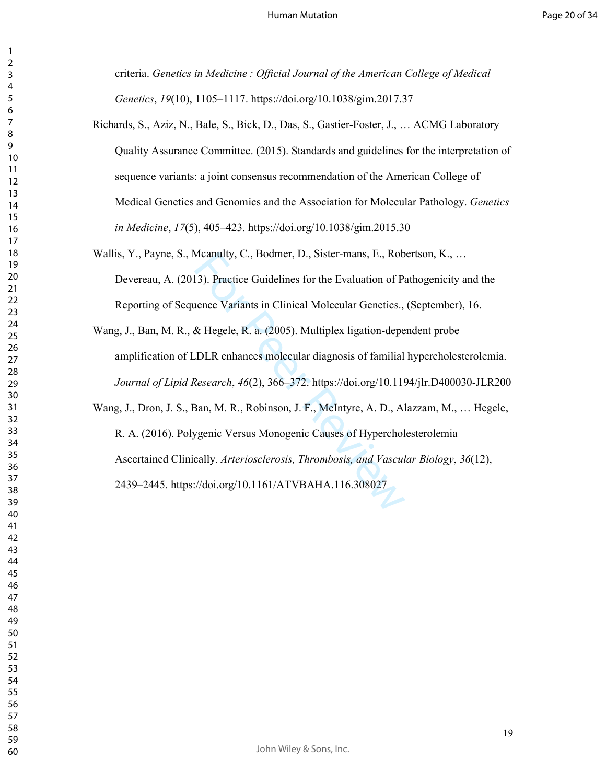criteria. *Genetics in Medicine : Official Journal of the American College of Medical Genetics*, *19*(10), 1105–1117. https://doi.org/10.1038/gim.2017.37

- Richards, S., Aziz, N., Bale, S., Bick, D., Das, S., Gastier-Foster, J., … ACMG Laboratory Quality Assurance Committee. (2015). Standards and guidelines for the interpretation of sequence variants: a joint consensus recommendation of the American College of Medical Genetics and Genomics and the Association for Molecular Pathology. *Genetics in Medicine*, *17*(5), 405–423. https://doi.org/10.1038/gim.2015.30
- Wallis, Y., Payne, S., Mcanulty, C., Bodmer, D., Sister-mans, E., Robertson, K., … Devereau, A. (2013). Practice Guidelines for the Evaluation of Pathogenicity and the Reporting of Sequence Variants in Clinical Molecular Genetics., (September), 16.
- Wang, J., Ban, M. R., & Hegele, R. a. (2005). Multiplex ligation-dependent probe amplification of LDLR enhances molecular diagnosis of familial hypercholesterolemia. *Journal of Lipid Research*, *46*(2), 366–372. https://doi.org/10.1194/jlr.D400030-JLR200
- Meanulty, C., Bodmer, D., Sister-mans, E., Rob<br>13). Practice Guidelines for the Evaluation of Pa<br>nence Variants in Clinical Molecular Genetics.,<br>& Hegele, R. a. (2005). Multiplex ligation-depe<br>DLR enhances molecular diagno Wang, J., Dron, J. S., Ban, M. R., Robinson, J. F., McIntyre, A. D., Alazzam, M., … Hegele, R. A. (2016). Polygenic Versus Monogenic Causes of Hypercholesterolemia Ascertained Clinically. *Arteriosclerosis, Thrombosis, and Vascular Biology*, *36*(12), 2439–2445. https://doi.org/10.1161/ATVBAHA.116.308027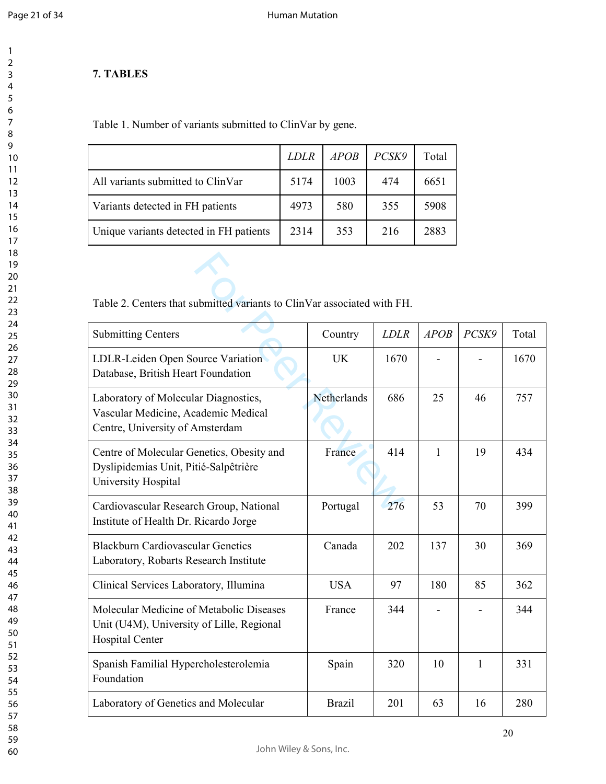# **7. TABLES**

Table 1. Number of variants submitted to ClinVar by gene.

|                                         | <i>LDLR</i> | <b>APOB</b> | PCSK9 | Total |
|-----------------------------------------|-------------|-------------|-------|-------|
| All variants submitted to ClinVar       | 5174        | 1003        | 474   | 6651  |
| Variants detected in FH patients        | 4973        | 580         | 355   | 5908  |
| Unique variants detected in FH patients | 2314        | 353         | 216   | 2883  |

| Table 2. Centers that submitted variants to ClinVar associated with FH.                                        |               |             |      |       |       |
|----------------------------------------------------------------------------------------------------------------|---------------|-------------|------|-------|-------|
| <b>Submitting Centers</b>                                                                                      | Country       | <b>LDLR</b> | APOB | PCSK9 | Total |
| LDLR-Leiden Open Source Variation<br>Database, British Heart Foundation                                        | UK            | 1670        |      |       | 1670  |
| Laboratory of Molecular Diagnostics,<br>Vascular Medicine, Academic Medical<br>Centre, University of Amsterdam | Netherlands   | 686         | 25   | 46    | 757   |
| Centre of Molecular Genetics, Obesity and<br>Dyslipidemias Unit, Pitié-Salpêtrière<br>University Hospital      | France        | 414         | 1    | 19    | 434   |
| Cardiovascular Research Group, National<br>Institute of Health Dr. Ricardo Jorge                               | Portugal      | 276         | 53   | 70    | 399   |
| <b>Blackburn Cardiovascular Genetics</b><br>Laboratory, Robarts Research Institute                             | Canada        | 202         | 137  | 30    | 369   |
| Clinical Services Laboratory, Illumina                                                                         | <b>USA</b>    | 97          | 180  | 85    | 362   |
| Molecular Medicine of Metabolic Diseases<br>Unit (U4M), University of Lille, Regional<br>Hospital Center       | France        | 344         |      |       | 344   |
| Spanish Familial Hypercholesterolemia<br>Foundation                                                            | Spain         | 320         | 10   | 1     | 331   |
| Laboratory of Genetics and Molecular                                                                           | <b>Brazil</b> | 201         | 63   | 16    | 280   |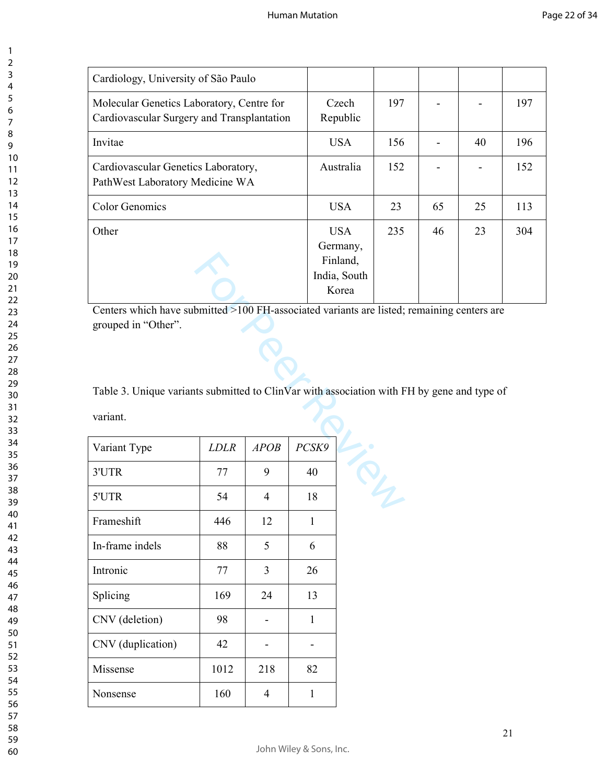| Cardiology, University of São Paulo                                                     |                                                             |     |    |    |     |
|-----------------------------------------------------------------------------------------|-------------------------------------------------------------|-----|----|----|-----|
| Molecular Genetics Laboratory, Centre for<br>Cardiovascular Surgery and Transplantation | Czech<br>Republic                                           | 197 |    |    | 197 |
| Invitae                                                                                 | <b>USA</b>                                                  | 156 |    | 40 | 196 |
| Cardiovascular Genetics Laboratory,<br>PathWest Laboratory Medicine WA                  | Australia                                                   | 152 |    |    | 152 |
| <b>Color Genomics</b>                                                                   | <b>USA</b>                                                  | 23  | 65 | 25 | 113 |
| Other                                                                                   | <b>USA</b><br>Germany,<br>Finland,<br>India, South<br>Korea | 235 | 46 | 23 | 304 |

Centers which have submitted >100 FH-associated variants are listed; remaining centers are grouped in "Other".

Table 3. Unique variants submitted to ClinVar with association with FH by gene and type of

|                                                                       |             |                |              | Finland,<br>India, South<br>Korea |  |  |
|-----------------------------------------------------------------------|-------------|----------------|--------------|-----------------------------------|--|--|
| Centers which have submitted >100 FH-associated variants are listed;  |             |                |              |                                   |  |  |
| grouped in "Other".                                                   |             |                |              |                                   |  |  |
|                                                                       |             |                |              |                                   |  |  |
| Table 3. Unique variants submitted to ClinVar with association with F |             |                |              |                                   |  |  |
| variant.                                                              |             |                |              |                                   |  |  |
| Variant Type                                                          | <b>LDLR</b> | APOB           | PCSK9        |                                   |  |  |
| 3'UTR                                                                 | 77          | 9              | 40           |                                   |  |  |
| 5'UTR                                                                 | 54          | $\overline{4}$ | 18           |                                   |  |  |
| Frameshift                                                            | 446         | 12             | 1            |                                   |  |  |
| In-frame indels                                                       | 88          | 5              | 6            |                                   |  |  |
| Intronic                                                              | 77          | 3              | 26           |                                   |  |  |
| Splicing                                                              | 169         | 24             | 13           |                                   |  |  |
| CNV (deletion)                                                        | 98          |                | $\mathbf{1}$ |                                   |  |  |
| CNV (duplication)                                                     | 42          |                |              |                                   |  |  |
| Missense                                                              | 1012        | 218            | 82           |                                   |  |  |
| Nonsense                                                              | 160         | $\overline{4}$ | $\mathbf{1}$ |                                   |  |  |
|                                                                       |             |                |              |                                   |  |  |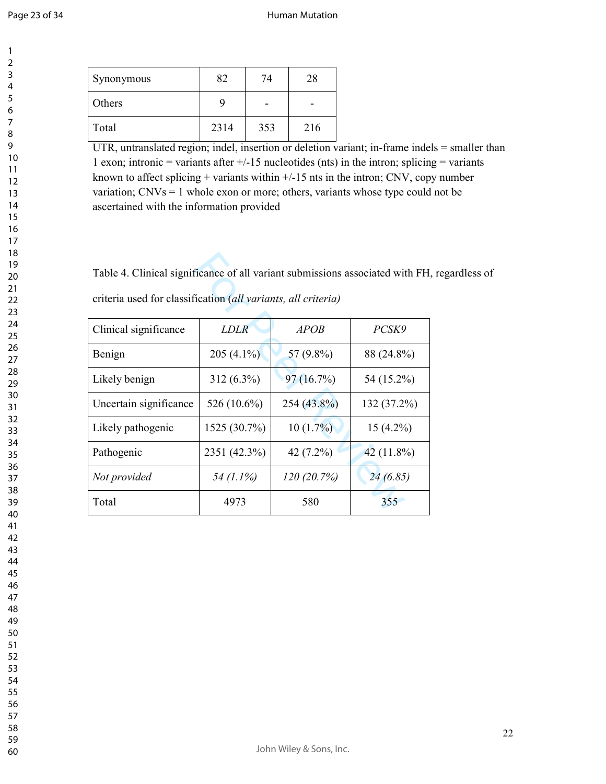$\mathbf{1}$  $\overline{2}$  $\overline{4}$  $\overline{7}$ 

#### Human Mutation

| Synonymous | 82   | 74  | 28  |
|------------|------|-----|-----|
| Others     |      | -   | -   |
| Total      | 2314 | 353 | 216 |

UTR, untranslated region; indel, insertion or deletion variant; in-frame indels = smaller than 1 exon; intronic = variants after  $+/-15$  nucleotides (nts) in the intron; splicing = variants known to affect splicing  $+$  variants within  $+/-15$  nts in the intron; CNV, copy number variation; CNVs = 1 whole exon or more; others, variants whose type could not be ascertained with the information provided

Table 4. Clinical significance of all variant submissions associated with FH, regardless of

| Table 4. Clinical significance of all variant submissions associated with FH |              |             |               |  |  |
|------------------------------------------------------------------------------|--------------|-------------|---------------|--|--|
| criteria used for classification (all variants, all criteria)                |              |             |               |  |  |
| Clinical significance                                                        | LDLR         | APOB        | PCSK9         |  |  |
| Benign                                                                       | $205(4.1\%)$ | 57 (9.8%)   | 88 (24.8%)    |  |  |
| Likely benign                                                                | $312(6.3\%)$ | 97(16.7%)   | 54 (15.2%)    |  |  |
| Uncertain significance                                                       | 526 (10.6%)  | 254 (43.8%) | 132 (37.2%)   |  |  |
| Likely pathogenic                                                            | 1525 (30.7%) | $10(1.7\%)$ | $15(4.2\%)$   |  |  |
| Pathogenic                                                                   | 2351 (42.3%) | 42 (7.2%)   | 42 $(11.8\%)$ |  |  |
| Not provided                                                                 | 54 (1.1%)    | 120(20.7%)  | 24(6.85)      |  |  |
| Total                                                                        | 4973         | 580         | 355           |  |  |

- 
-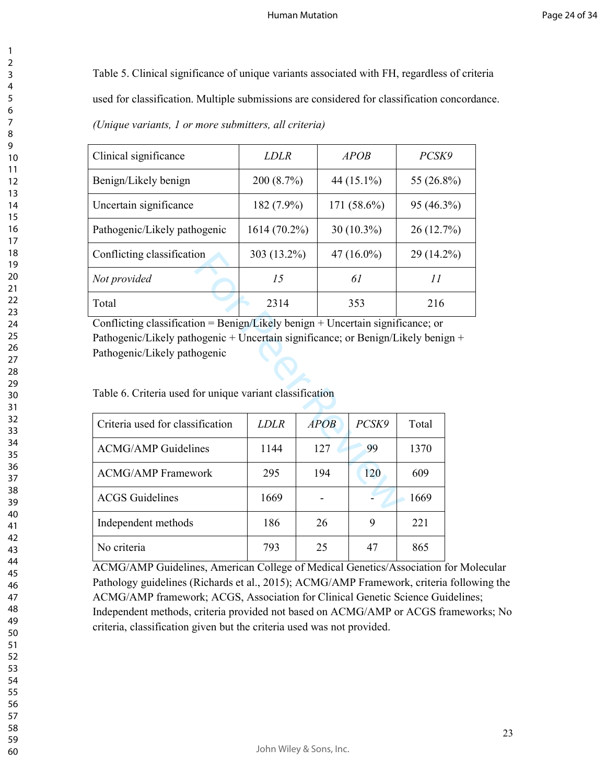Table 5. Clinical significance of unique variants associated with FH, regardless of criteria used for classification. Multiple submissions are considered for classification concordance.

*(Unique variants, 1 or more submitters, all criteria)* 

| Clinical significance        | LDLR           | <i>APOB</i>   | PCSK9      |
|------------------------------|----------------|---------------|------------|
| Benign/Likely benign         | 200 (8.7%)     | 44 $(15.1\%)$ | 55 (26.8%) |
| Uncertain significance       | 182 (7.9%)     | 171 (58.6%)   | 95 (46.3%) |
| Pathogenic/Likely pathogenic | $1614(70.2\%)$ | $30(10.3\%)$  | 26(12.7%)  |
| Conflicting classification   | 303 (13.2%)    | 47 $(16.0\%)$ | 29 (14.2%) |
| Not provided                 | 15             | 61            | 11         |
| Total                        | 2314           | 353           | 216        |

Table 6. Criteria used for unique variant classification

| Conflicting classification                                                     | 303 (13.2%) |      | $47(16.0\%)$ |       |  |  |  |
|--------------------------------------------------------------------------------|-------------|------|--------------|-------|--|--|--|
| Not provided                                                                   | 15          |      | 61           | 11    |  |  |  |
| Total                                                                          | 2314        |      | 353          |       |  |  |  |
| Conflicting classification = Benign/Likely benign + Uncertain significance; or |             |      |              |       |  |  |  |
| Pathogenic/Likely pathogenic + Uncertain significance; or Benign/Likely benig  |             |      |              |       |  |  |  |
| Pathogenic/Likely pathogenic                                                   |             |      |              |       |  |  |  |
|                                                                                |             |      |              |       |  |  |  |
| Table 6. Criteria used for unique variant classification                       |             |      |              |       |  |  |  |
| Criteria used for classification                                               | <b>LDLR</b> | APOB | PCSK9        | Total |  |  |  |
| <b>ACMG/AMP Guidelines</b>                                                     | 1144        | 127  | 99           | 1370  |  |  |  |
| <b>ACMG/AMP Framework</b>                                                      | 295         | 194  | 120          | 609   |  |  |  |
| <b>ACGS</b> Guidelines                                                         | 1669        |      |              | 1669  |  |  |  |
| Independent methods                                                            | 186         | 26   | 9            | 221   |  |  |  |
| No criteria                                                                    | 793         | 25   | 47           | 865   |  |  |  |

ACMG/AMP Guidelines, American College of Medical Genetics/Association for Molecular Pathology guidelines (Richards et al., 2015); ACMG/AMP Framework, criteria following the ACMG/AMP framework; ACGS, Association for Clinical Genetic Science Guidelines; Independent methods, criteria provided not based on ACMG/AMP or ACGS frameworks; No criteria, classification given but the criteria used was not provided.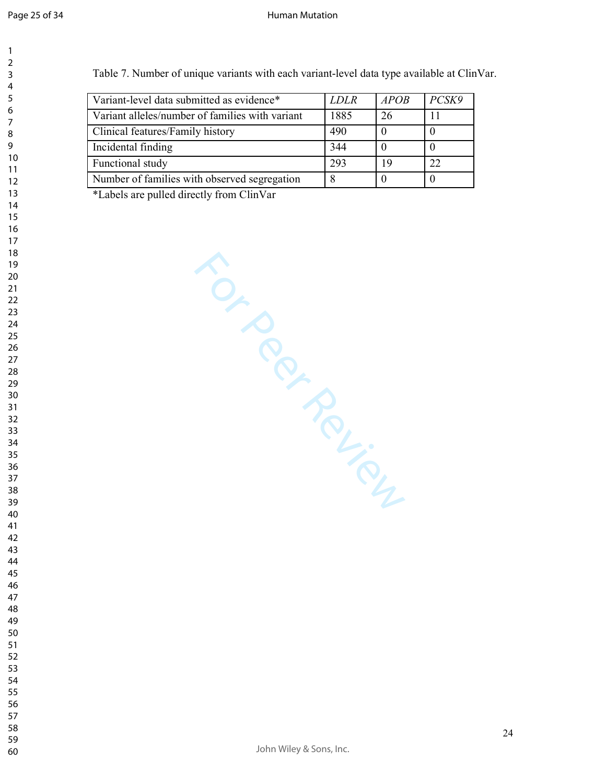| 1                                     |  |
|---------------------------------------|--|
| 2                                     |  |
| 3                                     |  |
| 4<br>5                                |  |
| 6                                     |  |
|                                       |  |
| 8<br>9                                |  |
| $\overline{10}$                       |  |
| $\mathbf{1}$<br>1                     |  |
|                                       |  |
| 12<br>13<br>14<br>15<br>16<br>17<br>4 |  |
|                                       |  |
|                                       |  |
| 18                                    |  |
| 19                                    |  |
| 20<br>$\overline{21}$                 |  |
| $\overline{22}$                       |  |
| $\frac{1}{2}$                         |  |
| .<br>24<br>25                         |  |
| 26<br>27                              |  |
|                                       |  |
| 28<br>29                              |  |
| 30                                    |  |
| 31                                    |  |
| 32<br>33                              |  |
| 34                                    |  |
| 35                                    |  |
| 36<br>$\overline{3}$                  |  |
| 38                                    |  |
| 39                                    |  |
| 40<br>41                              |  |
| 42                                    |  |
| 43                                    |  |
| 44<br>45                              |  |
| 46                                    |  |
| 47                                    |  |

Table 7. Number of unique variants with each variant-level data type available at ClinVar.

| Variant-level data submitted as evidence*       | <i>LDLR</i> | APOB | PCSK9 |
|-------------------------------------------------|-------------|------|-------|
| Variant alleles/number of families with variant | 1885        | 26   |       |
| Clinical features/Family history                | 490         |      |       |
| Incidental finding                              | 344         |      |       |
| Functional study                                | 293         | 19   | 22.   |
| Number of families with observed segregation    |             |      |       |

For Perican

\*Labels are pulled directly from ClinVar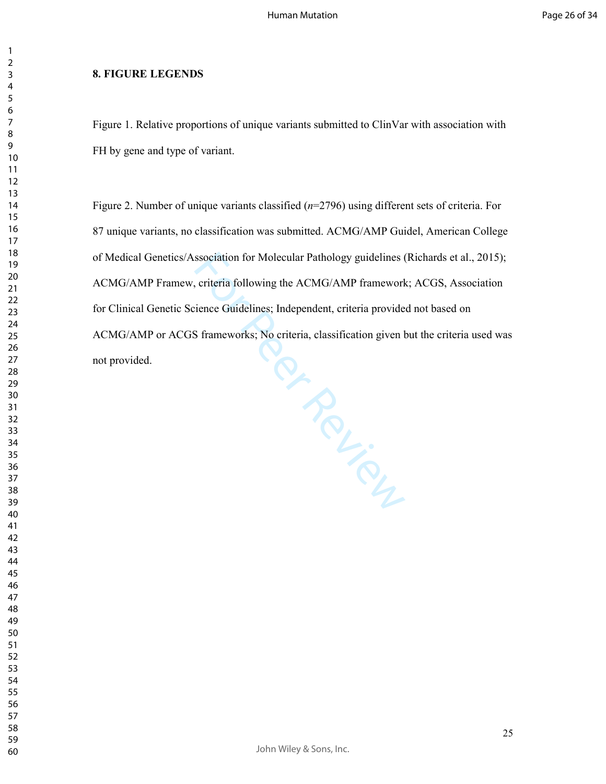#### **8. FIGURE LEGENDS**

Figure 1. Relative proportions of unique variants submitted to ClinVar with association with FH by gene and type of variant.

ranger Review Figure 2. Number of unique variants classified (*n*=2796) using different sets of criteria. For 87 unique variants, no classification was submitted. ACMG/AMP Guidel, American College of Medical Genetics/Association for Molecular Pathology guidelines (Richards et al., 2015); ACMG/AMP Framew, criteria following the ACMG/AMP framework; ACGS, Association for Clinical Genetic Science Guidelines; Independent, criteria provided not based on ACMG/AMP or ACGS frameworks; No criteria, classification given but the criteria used was not provided.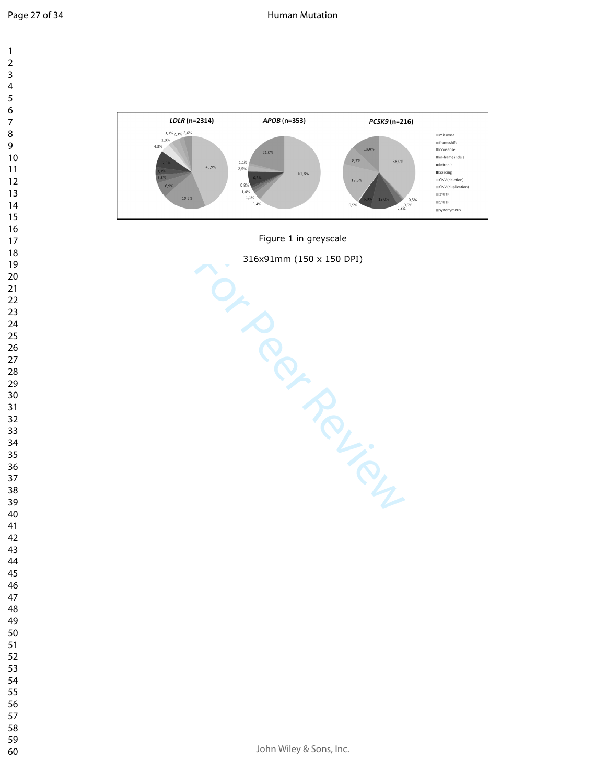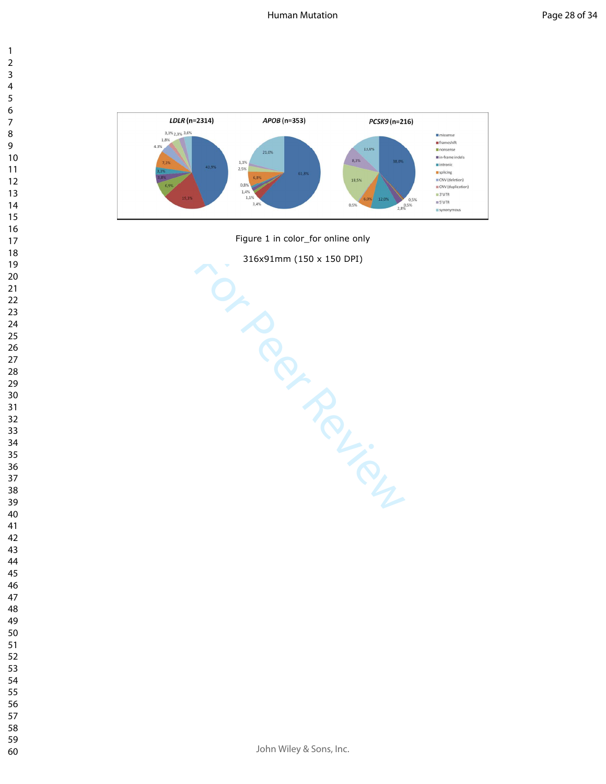



Figure 1 in color\_for online only

316x91mm (150 x 150 DPI) 316x91mm (150 x 150 DPI)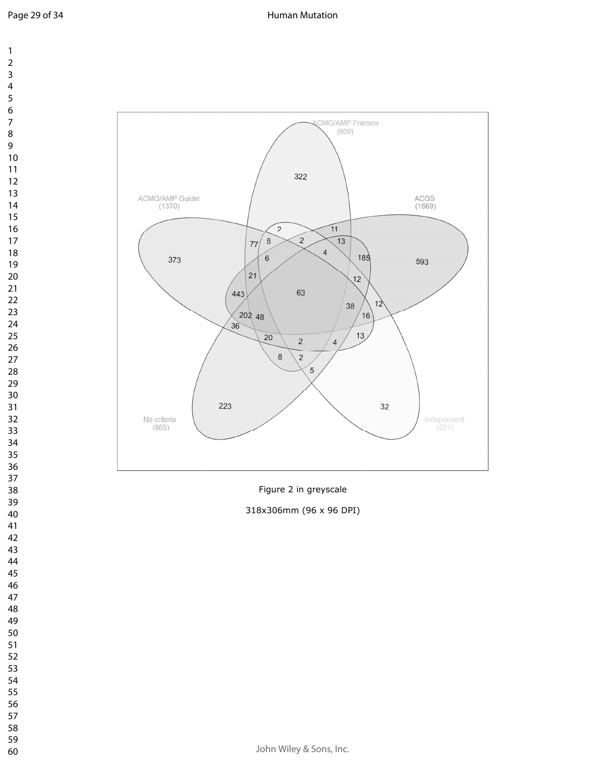Page 29 of 34

 $\mathbf{1}$  $\overline{2}$  $\overline{\mathbf{3}}$  $\overline{\mathbf{4}}$  $\overline{5}$  $\boldsymbol{6}$  $\overline{7}$ 

 $\bf 8$  $\mathsf g$ 



Figure 2 in greyscale

318x306mm (96 x 96 DPI)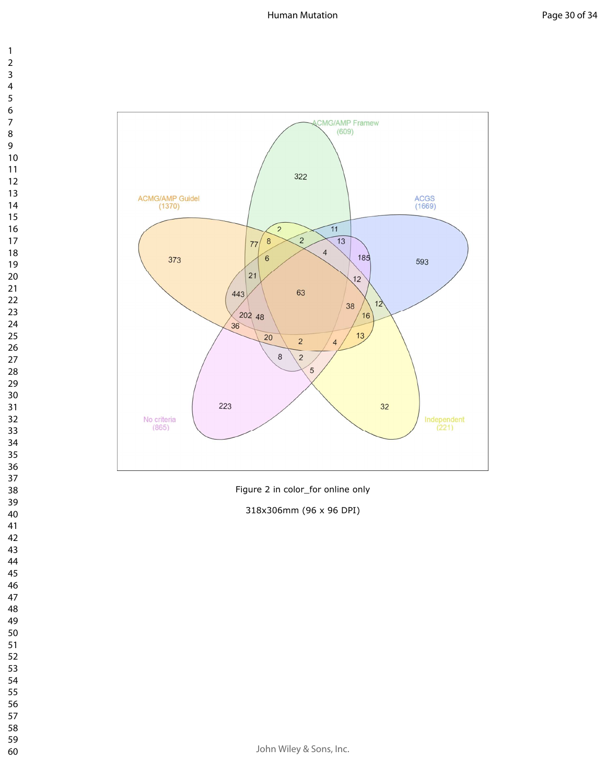





Figure 2 in color\_for online only

318x306mm (96 x 96 DPI)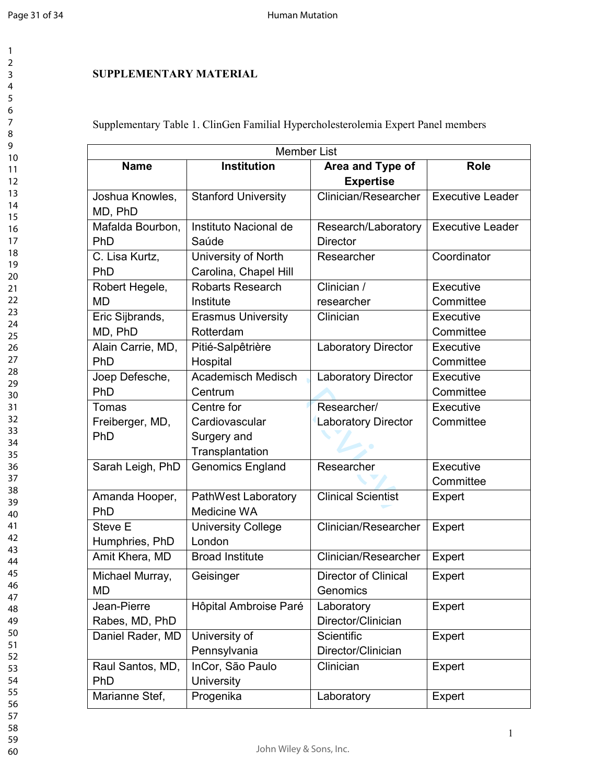$\mathbf{1}$  $\overline{2}$ 3 4 5 6  $\overline{7}$  $\bf 8$ 9

## **SUPPLEMENTARY MATERIAL**

Supplementary Table 1. ClinGen Familial Hypercholesterolemia Expert Panel members

|                                 | <b>Member List</b>                                             |                                           |                         |
|---------------------------------|----------------------------------------------------------------|-------------------------------------------|-------------------------|
| <b>Name</b>                     | <b>Institution</b>                                             | Area and Type of<br><b>Expertise</b>      | <b>Role</b>             |
| Joshua Knowles,<br>MD, PhD      | <b>Stanford University</b>                                     | Clinician/Researcher                      | <b>Executive Leader</b> |
| Mafalda Bourbon,<br>PhD         | Instituto Nacional de<br>Saúde                                 | Research/Laboratory<br><b>Director</b>    | <b>Executive Leader</b> |
| C. Lisa Kurtz,<br><b>PhD</b>    | University of North<br>Carolina, Chapel Hill                   | Researcher                                | Coordinator             |
| Robert Hegele,<br><b>MD</b>     | Robarts Research<br>Institute                                  | Clinician /<br>researcher                 | Executive<br>Committee  |
| Eric Sijbrands,<br>MD, PhD      | <b>Erasmus University</b><br>Rotterdam                         | Clinician                                 | Executive<br>Committee  |
| Alain Carrie, MD,<br>PhD        | Pitié-Salpêtrière<br>Hospital                                  | <b>Laboratory Director</b>                | Executive<br>Committee  |
| Joep Defesche,<br>PhD           | <b>Academisch Medisch</b><br>Centrum                           | Laboratory Director                       | Executive<br>Committee  |
| Tomas<br>Freiberger, MD,<br>PhD | Centre for<br>Cardiovascular<br>Surgery and<br>Transplantation | Researcher/<br><b>Laboratory Director</b> | Executive<br>Committee  |
| Sarah Leigh, PhD                | <b>Genomics England</b>                                        | Researcher                                | Executive<br>Committee  |
| Amanda Hooper,<br>PhD           | PathWest Laboratory<br><b>Medicine WA</b>                      | <b>Clinical Scientist</b>                 | Expert                  |
| Steve E<br>Humphries, PhD       | <b>University College</b><br>London                            | Clinician/Researcher                      | Expert                  |
| Amit Khera, MD                  | <b>Broad Institute</b>                                         | Clinician/Researcher                      | Expert                  |
| Michael Murray,<br><b>MD</b>    | Geisinger                                                      | <b>Director of Clinical</b><br>Genomics   | Expert                  |
| Jean-Pierre<br>Rabes, MD, PhD   | Hôpital Ambroise Paré                                          | Laboratory<br>Director/Clinician          | Expert                  |
| Daniel Rader, MD                | University of<br>Pennsylvania                                  | Scientific<br>Director/Clinician          | Expert                  |
| Raul Santos, MD,<br>PhD         | InCor, São Paulo<br>University                                 | Clinician                                 | Expert                  |
| Marianne Stef,                  | Progenika                                                      | Laboratory                                | Expert                  |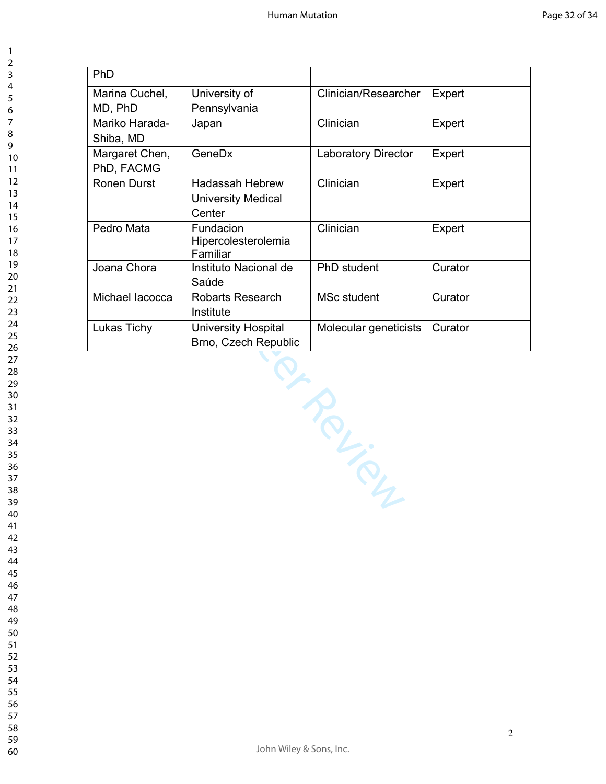| PhD                |                                      |                       |         |
|--------------------|--------------------------------------|-----------------------|---------|
| Marina Cuchel,     | University of                        | Clinician/Researcher  | Expert  |
| MD, PhD            | Pennsylvania                         |                       |         |
| Mariko Harada-     | Japan                                | Clinician             | Expert  |
| Shiba, MD          |                                      |                       |         |
| Margaret Chen,     | GeneDx                               | Laboratory Director   | Expert  |
| PhD, FACMG         |                                      |                       |         |
| <b>Ronen Durst</b> | <b>Hadassah Hebrew</b>               | Clinician             | Expert  |
|                    | <b>University Medical</b>            |                       |         |
|                    | Center                               |                       |         |
| Pedro Mata         | Fundacion                            | Clinician             | Expert  |
|                    | Hipercolesterolemia                  |                       |         |
|                    | Familiar                             |                       |         |
| Joana Chora        | Instituto Nacional de                | PhD student           | Curator |
|                    | Saúde                                |                       |         |
| Michael lacocca    | <b>Robarts Research</b><br>Institute | <b>MSc student</b>    | Curator |
| Lukas Tichy        | University Hospital                  | Molecular geneticists | Curator |
|                    | Brno, Czech Republic                 |                       |         |
|                    |                                      |                       |         |

Per Review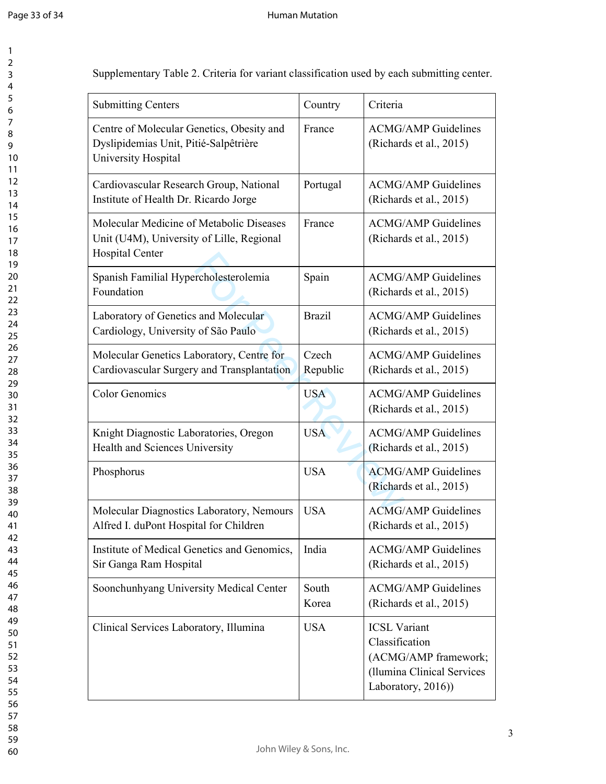Submitting Centers Country Criteria Centre of Molecular Genetics, Obesity and Dyslipidemias Unit, Pitié-Salpêtrière University Hospital France | ACMG/AMP Guidelines (Richards et al., 2015) Cardiovascular Research Group, National Institute of Health Dr. Ricardo Jorge Portugal | ACMG/AMP Guidelines (Richards et al., 2015) Molecular Medicine of Metabolic Diseases Unit (U4M), University of Lille, Regional Hospital Center France | ACMG/AMP Guidelines (Richards et al., 2015) Spanish Familial Hypercholesterolemia Foundation Spain | ACMG/AMP Guidelines (Richards et al., 2015) Laboratory of Genetics and Molecular Cardiology, University of São Paulo Brazil ACMG/AMP Guidelines (Richards et al., 2015) Molecular Genetics Laboratory, Centre for Cardiovascular Surgery and Transplantation Czech Republic ACMG/AMP Guidelines (Richards et al., 2015) Color Genomics USA | ACMG/AMP Guidelines

| HOSpital Center                                                                         |                   |                                                                                                                   |
|-----------------------------------------------------------------------------------------|-------------------|-------------------------------------------------------------------------------------------------------------------|
| Spanish Familial Hypercholesterolemia<br>Foundation                                     | Spain             | <b>ACMG/AMP Guidelines</b><br>(Richards et al., 2015)                                                             |
| Laboratory of Genetics and Molecular<br>Cardiology, University of São Paulo             | <b>Brazil</b>     | <b>ACMG/AMP Guidelines</b><br>(Richards et al., 2015)                                                             |
| Molecular Genetics Laboratory, Centre for<br>Cardiovascular Surgery and Transplantation | Czech<br>Republic | <b>ACMG/AMP Guidelines</b><br>(Richards et al., 2015)                                                             |
| <b>Color Genomics</b>                                                                   | <b>USA</b>        | <b>ACMG/AMP Guidelines</b><br>(Richards et al., 2015)                                                             |
| Knight Diagnostic Laboratories, Oregon<br>Health and Sciences University                | <b>USA</b>        | <b>ACMG/AMP Guidelines</b><br>(Richards et al., 2015)                                                             |
| Phosphorus                                                                              | <b>USA</b>        | <b>ACMG/AMP Guidelines</b><br>(Richards et al., 2015)                                                             |
| Molecular Diagnostics Laboratory, Nemours<br>Alfred I. duPont Hospital for Children     | <b>USA</b>        | <b>ACMG/AMP Guidelines</b><br>(Richards et al., 2015)                                                             |
| Institute of Medical Genetics and Genomics,<br>Sir Ganga Ram Hospital                   | India             | <b>ACMG/AMP Guidelines</b><br>(Richards et al., 2015)                                                             |
| Soonchunhyang University Medical Center                                                 | South<br>Korea    | <b>ACMG/AMP Guidelines</b><br>(Richards et al., 2015)                                                             |
| Clinical Services Laboratory, Illumina                                                  | <b>USA</b>        | <b>ICSL Variant</b><br>Classification<br>(ACMG/AMP framework;<br>(llumina Clinical Services<br>Laboratory, 2016)) |

Supplementary Table 2. Criteria for variant classification used by each submitting center.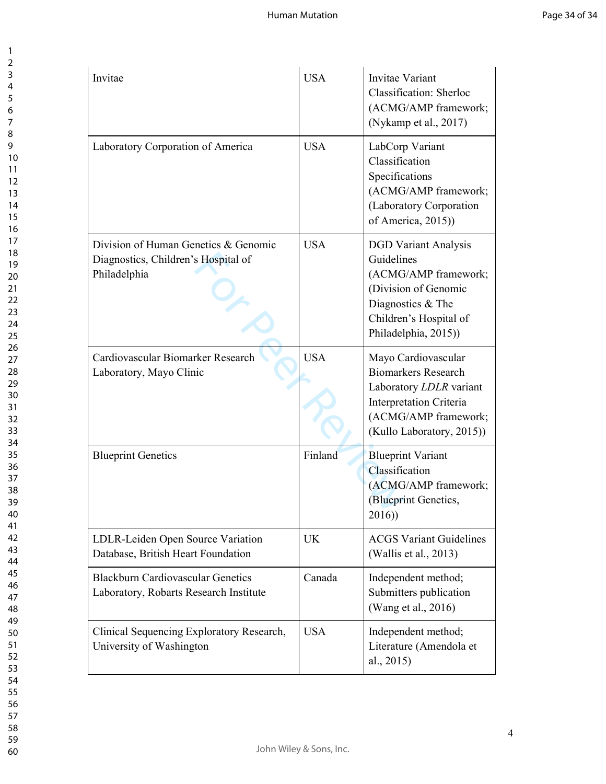| Invitae                                                                                     | <b>USA</b> | <b>Invitae Variant</b><br><b>Classification: Sherloc</b><br>(ACMG/AMP framework;<br>(Nykamp et al., 2017)                                                           |
|---------------------------------------------------------------------------------------------|------------|---------------------------------------------------------------------------------------------------------------------------------------------------------------------|
| Laboratory Corporation of America                                                           | <b>USA</b> | LabCorp Variant<br>Classification<br>Specifications<br>(ACMG/AMP framework;<br>(Laboratory Corporation<br>of America, 2015))                                        |
| Division of Human Genetics & Genomic<br>Diagnostics, Children's Hospital of<br>Philadelphia | <b>USA</b> | <b>DGD Variant Analysis</b><br>Guidelines<br>(ACMG/AMP framework;<br>(Division of Genomic<br>Diagnostics $&$ The<br>Children's Hospital of<br>Philadelphia, 2015))  |
| Cardiovascular Biomarker Research<br>Laboratory, Mayo Clinic                                | <b>USA</b> | Mayo Cardiovascular<br><b>Biomarkers Research</b><br>Laboratory LDLR variant<br><b>Interpretation Criteria</b><br>(ACMG/AMP framework;<br>(Kullo Laboratory, 2015)) |
| <b>Blueprint Genetics</b>                                                                   | Finland    | <b>Blueprint Variant</b><br>Classification<br>(ACMG/AMP framework;<br>(Blueprint Genetics,<br>2016)                                                                 |
| LDLR-Leiden Open Source Variation<br>Database, British Heart Foundation                     | <b>UK</b>  | <b>ACGS Variant Guidelines</b><br>(Wallis et al., 2013)                                                                                                             |
| <b>Blackburn Cardiovascular Genetics</b><br>Laboratory, Robarts Research Institute          | Canada     | Independent method;<br>Submitters publication<br>(Wang et al., 2016)                                                                                                |
| Clinical Sequencing Exploratory Research,<br>University of Washington                       | <b>USA</b> | Independent method;<br>Literature (Amendola et<br>al., 2015)                                                                                                        |

 $\mathbf{1}$  $\overline{2}$  $\mathsf{3}$  $\overline{\mathbf{4}}$ 5  $\boldsymbol{6}$  $\overline{7}$  $\, 8$ 9